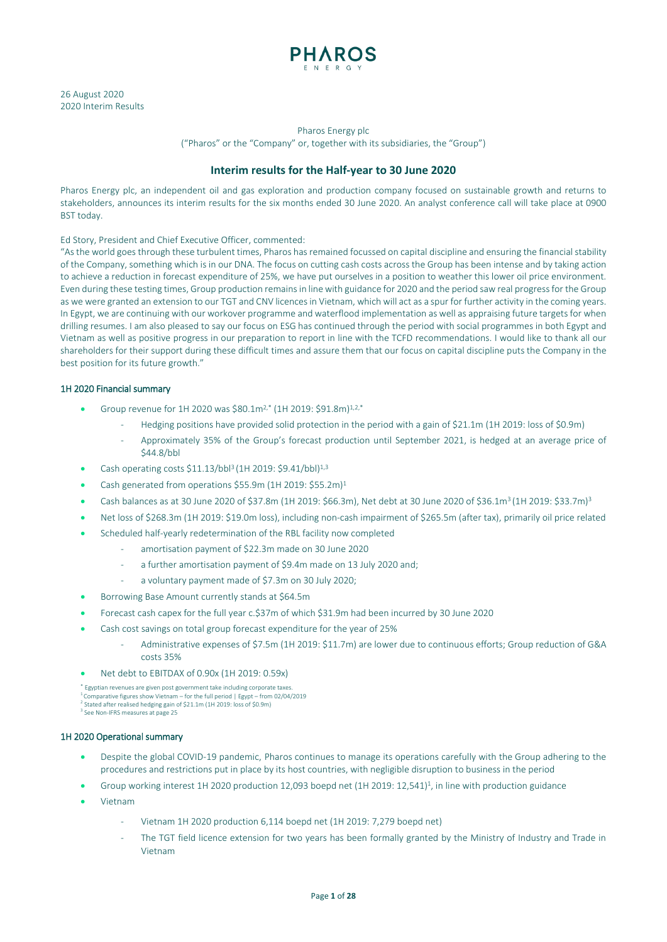

#### Pharos Energy plc

("Pharos" or the "Company" or, together with its subsidiaries, the "Group")

# **Interim results for the Half-year to 30 June 2020**

Pharos Energy plc, an independent oil and gas exploration and production company focused on sustainable growth and returns to stakeholders, announces its interim results for the six months ended 30 June 2020. An analyst conference call will take place at 0900 BST today.

Ed Story, President and Chief Executive Officer, commented:

"As the world goes through these turbulent times, Pharos has remained focussed on capital discipline and ensuring the financial stability of the Company, something which is in our DNA. The focus on cutting cash costs across the Group has been intense and by taking action to achieve a reduction in forecast expenditure of 25%, we have put ourselves in a position to weather this lower oil price environment. Even during these testing times, Group production remains in line with guidance for 2020 and the period saw real progress for the Group as we were granted an extension to our TGT and CNV licences in Vietnam, which will act as a spur for further activity in the coming years. In Egypt, we are continuing with our workover programme and waterflood implementation as well as appraising future targets for when drilling resumes. I am also pleased to say our focus on ESG has continued through the period with social programmes in both Egypt and Vietnam as well as positive progress in our preparation to report in line with the TCFD recommendations. I would like to thank all our shareholders for their support during these difficult times and assure them that our focus on capital discipline puts the Company in the best position for its future growth."

#### 1H 2020 Financial summary

- Group revenue for 1H 2020 was \$80.1m2,\* (1H 2019: \$91.8m)1,2,\*
	- Hedging positions have provided solid protection in the period with a gain of \$21.1m (1H 2019: loss of \$0.9m)
	- Approximately 35% of the Group's forecast production until September 2021, is hedged at an average price of \$44.8/bbl
	- Cash operating costs \$11.13/bbl<sup>3</sup> (1H 2019: \$9.41/bbl)<sup>1,3</sup>
- Cash generated from operations \$55.9m (1H 2019: \$55.2m)1
- Cash balances as at 30 June 2020 of \$37.8m (1H 2019: \$66.3m), Net debt at 30 June 2020 of \$36.1m<sup>3</sup> (1H 2019: \$33.7m)<sup>3</sup>
- Net loss of \$268.3m (1H 2019: \$19.0m loss), including non-cash impairment of \$265.5m (after tax), primarily oil price related
- Scheduled half-yearly redetermination of the RBL facility now completed
	- amortisation payment of \$22.3m made on 30 June 2020
	- a further amortisation payment of \$9.4m made on 13 July 2020 and:
	- a voluntary payment made of \$7.3m on 30 July 2020;
- Borrowing Base Amount currently stands at \$64.5m
- Forecast cash capex for the full year c.\$37m of which \$31.9m had been incurred by 30 June 2020
- Cash cost savings on total group forecast expenditure for the year of 25%
	- Administrative expenses of \$7.5m (1H 2019: \$11.7m) are lower due to continuous efforts; Group reduction of G&A costs 35%
- Net debt to EBITDAX of 0.90x (1H 2019: 0.59x)

\* Egyptian revenues are given post government take including corporate taxes. 1 Comparative figures show Vietnam – for the full period | Egypt – from 02/04/2019<br><sup>2</sup> Stated after realised hedging gain of \$21.1m (1H 2019: loss of \$0.9m)

<sup>3</sup> See Non-IFRS measures at page 25

#### 1H 2020 Operational summary

- Despite the global COVID-19 pandemic, Pharos continues to manage its operations carefully with the Group adhering to the procedures and restrictions put in place by its host countries, with negligible disruption to business in the period
- Group working interest 1H 2020 production 12,093 boepd net (1H 2019: 12,541)1, in line with production guidance
- Vietnam
	- Vietnam 1H 2020 production 6,114 boepd net (1H 2019: 7,279 boepd net)
	- The TGT field licence extension for two years has been formally granted by the Ministry of Industry and Trade in Vietnam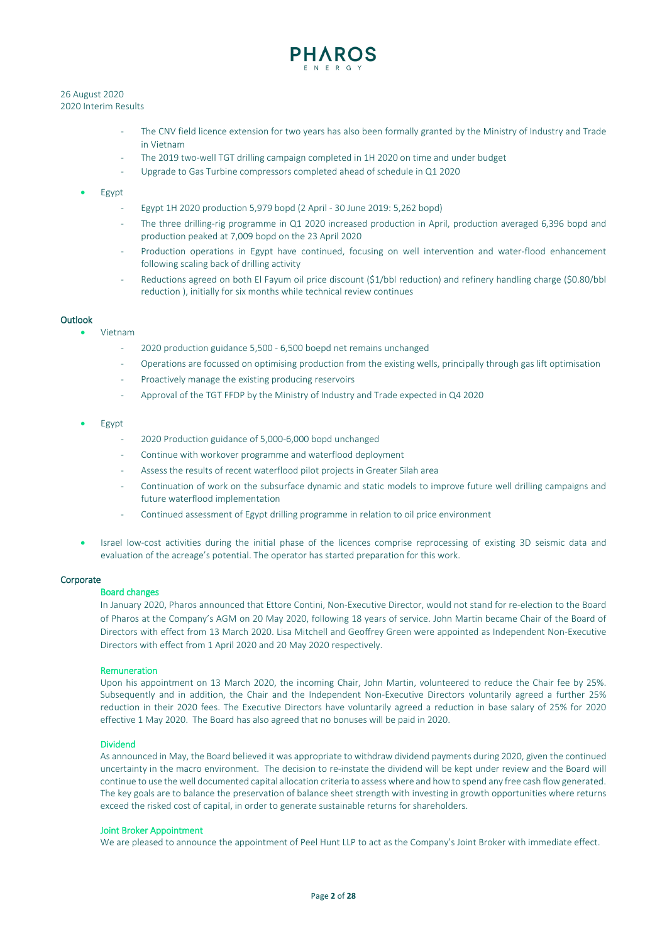

- The CNV field licence extension for two years has also been formally granted by the Ministry of Industry and Trade in Vietnam
- The 2019 two-well TGT drilling campaign completed in 1H 2020 on time and under budget
- Upgrade to Gas Turbine compressors completed ahead of schedule in Q1 2020

# • Egypt

- Egypt 1H 2020 production 5,979 bopd (2 April 30 June 2019: 5,262 bopd)
- The three drilling-rig programme in Q1 2020 increased production in April, production averaged 6,396 bopd and production peaked at 7,009 bopd on the 23 April 2020
- Production operations in Egypt have continued, focusing on well intervention and water-flood enhancement following scaling back of drilling activity
- Reductions agreed on both El Fayum oil price discount (\$1/bbl reduction) and refinery handling charge (\$0.80/bbl reduction ), initially for six months while technical review continues

# **Outlook**

- Vietnam
	- 2020 production guidance 5,500 6,500 boepd net remains unchanged
	- Operations are focussed on optimising production from the existing wells, principally through gas lift optimisation
	- Proactively manage the existing producing reservoirs
	- Approval of the TGT FFDP by the Ministry of Industry and Trade expected in Q4 2020

# • Egypt

- 2020 Production guidance of 5,000-6,000 bopd unchanged
- Continue with workover programme and waterflood deployment
- Assess the results of recent waterflood pilot projects in Greater Silah area
- Continuation of work on the subsurface dynamic and static models to improve future well drilling campaigns and future waterflood implementation
- Continued assessment of Egypt drilling programme in relation to oil price environment
- Israel low-cost activities during the initial phase of the licences comprise reprocessing of existing 3D seismic data and evaluation of the acreage's potential. The operator has started preparation for this work.

# **Corporate**

# Board changes

In January 2020, Pharos announced that Ettore Contini, Non-Executive Director, would not stand for re-election to the Board of Pharos at the Company's AGM on 20 May 2020, following 18 years of service. John Martin became Chair of the Board of Directors with effect from 13 March 2020. Lisa Mitchell and Geoffrey Green were appointed as Independent Non-Executive Directors with effect from 1 April 2020 and 20 May 2020 respectively.

# Remuneration

Upon his appointment on 13 March 2020, the incoming Chair, John Martin, volunteered to reduce the Chair fee by 25%. Subsequently and in addition, the Chair and the Independent Non-Executive Directors voluntarily agreed a further 25% reduction in their 2020 fees. The Executive Directors have voluntarily agreed a reduction in base salary of 25% for 2020 effective 1 May 2020. The Board has also agreed that no bonuses will be paid in 2020.

# Dividend

As announced in May, the Board believed it was appropriate to withdraw dividend payments during 2020, given the continued uncertainty in the macro environment. The decision to re-instate the dividend will be kept under review and the Board will continue to use the well documented capital allocation criteria to assess where and how to spend any free cash flow generated. The key goals are to balance the preservation of balance sheet strength with investing in growth opportunities where returns exceed the risked cost of capital, in order to generate sustainable returns for shareholders.

#### Joint Broker Appointment

We are pleased to announce the appointment of Peel Hunt LLP to act as the Company's Joint Broker with immediate effect.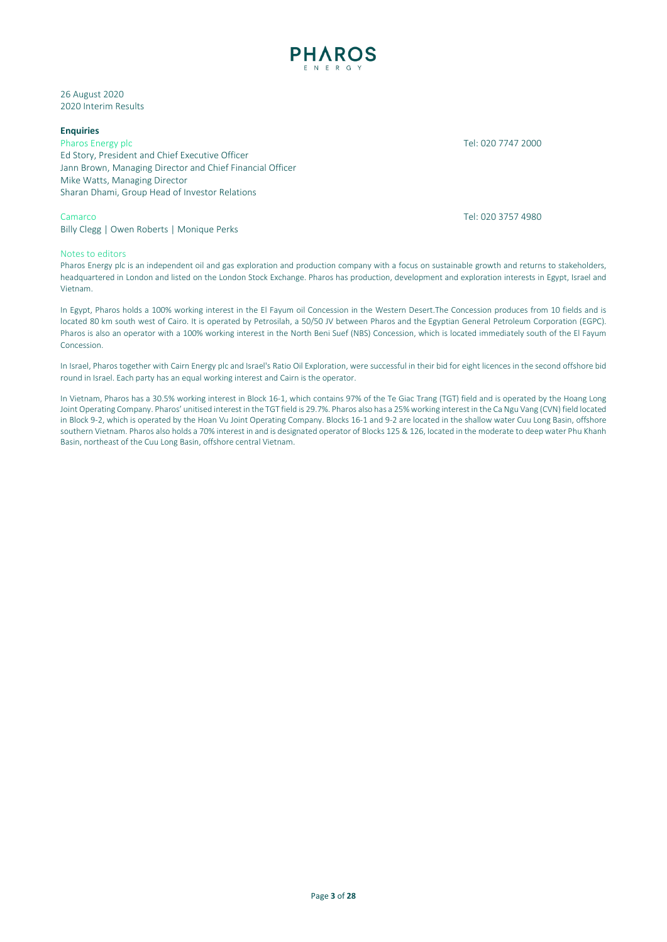

#### **Enquiries**

Pharos Energy plc **Tel: 020 7747 2000** Ed Story, President and Chief Executive Officer Jann Brown, Managing Director and Chief Financial Officer Mike Watts, Managing Director Sharan Dhami, Group Head of Investor Relations

Billy Clegg | Owen Roberts | Monique Perks

Camarco Tel: 020 3757 4980

#### Notes to editors

Pharos Energy plc is an independent oil and gas exploration and production company with a focus on sustainable growth and returns to stakeholders, headquartered in London and listed on the London Stock Exchange. Pharos has production, development and exploration interests in Egypt, Israel and Vietnam.

In Egypt, Pharos holds a 100% working interest in the El Fayum oil Concession in the Western Desert.The Concession produces from 10 fields and is located 80 km south west of Cairo. It is operated by Petrosilah, a 50/50 JV between Pharos and the Egyptian General Petroleum Corporation (EGPC). Pharos is also an operator with a 100% working interest in the North Beni Suef (NBS) Concession, which is located immediately south of the El Fayum Concession.

In Israel, Pharos together with Cairn Energy plc and Israel's Ratio Oil Exploration, were successful in their bid for eight licences in the second offshore bid round in Israel. Each party has an equal working interest and Cairn is the operator.

In Vietnam, Pharos has a 30.5% working interest in Block 16-1, which contains 97% of the Te Giac Trang (TGT) field and is operated by the Hoang Long Joint Operating Company. Pharos' unitised interest in the TGT field is 29.7%. Pharos also has a 25% working interest in the Ca Ngu Vang (CVN) field located in Block 9-2, which is operated by the Hoan Vu Joint Operating Company. Blocks 16-1 and 9-2 are located in the shallow water Cuu Long Basin, offshore southern Vietnam. Pharos also holds a 70% interest in and is designated operator of Blocks 125 & 126, located in the moderate to deep water Phu Khanh Basin, northeast of the Cuu Long Basin, offshore central Vietnam.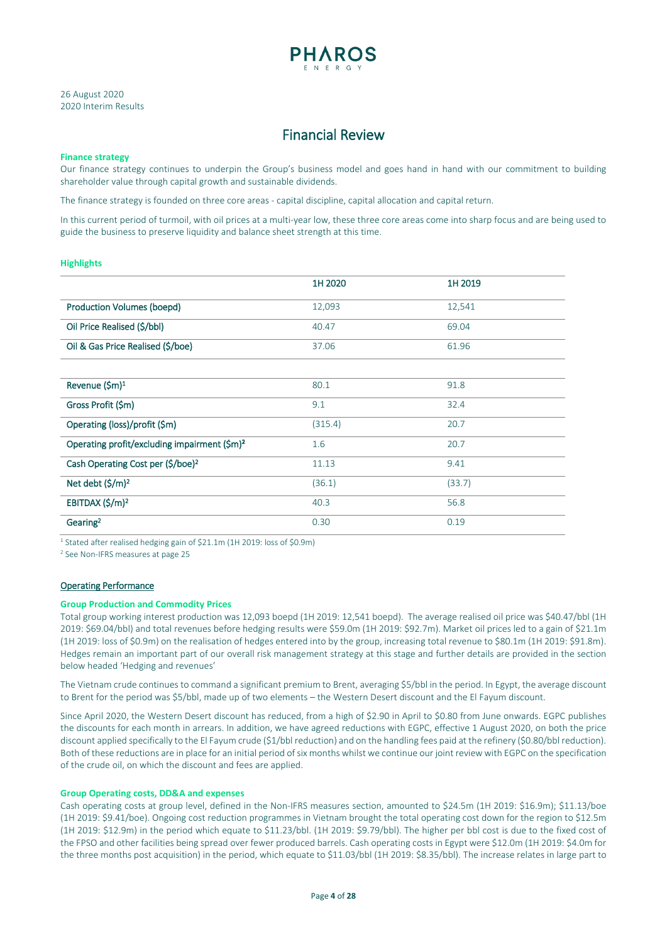

# Financial Review

#### **Finance strategy**

Our finance strategy continues to underpin the Group's business model and goes hand in hand with our commitment to building shareholder value through capital growth and sustainable dividends.

The finance strategy is founded on three core areas - capital discipline, capital allocation and capital return.

In this current period of turmoil, with oil prices at a multi-year low, these three core areas come into sharp focus and are being used to guide the business to preserve liquidity and balance sheet strength at this time.

#### **Highlights**

|                                                          | 1H 2020 | 1H 2019 |
|----------------------------------------------------------|---------|---------|
| Production Volumes (boepd)                               | 12,093  | 12,541  |
| Oil Price Realised (\$/bbl)                              | 40.47   | 69.04   |
| Oil & Gas Price Realised (\$/boe)                        | 37.06   | 61.96   |
|                                                          |         |         |
| Revenue (\$m) <sup>1</sup>                               | 80.1    | 91.8    |
| Gross Profit (\$m)                                       | 9.1     | 32.4    |
| Operating (loss)/profit (\$m)                            | (315.4) | 20.7    |
| Operating profit/excluding impairment (\$m) <sup>2</sup> | 1.6     | 20.7    |
| Cash Operating Cost per (\$/boe) <sup>2</sup>            | 11.13   | 9.41    |
| Net debt $(\frac{2}{3})^2$                               | (36.1)  | (33.7)  |
| EBITDAX (\$/m) <sup>2</sup>                              | 40.3    | 56.8    |
| Gearing <sup>2</sup>                                     | 0.30    | 0.19    |

<sup>1</sup> Stated after realised hedging gain of \$21.1m (1H 2019: loss of \$0.9m)

<sup>2</sup> See Non-IFRS measures at page 25

## Operating Performance

### **Group Production and Commodity Prices**

Total group working interest production was 12,093 boepd (1H 2019: 12,541 boepd). The average realised oil price was \$40.47/bbl (1H 2019: \$69.04/bbl) and total revenues before hedging results were \$59.0m (1H 2019: \$92.7m). Market oil prices led to a gain of \$21.1m (1H 2019: loss of \$0.9m) on the realisation of hedges entered into by the group, increasing total revenue to \$80.1m (1H 2019: \$91.8m). Hedges remain an important part of our overall risk management strategy at this stage and further details are provided in the section below headed 'Hedging and revenues'

The Vietnam crude continues to command a significant premium to Brent, averaging \$5/bbl in the period. In Egypt, the average discount to Brent for the period was \$5/bbl, made up of two elements – the Western Desert discount and the El Fayum discount.

Since April 2020, the Western Desert discount has reduced, from a high of \$2.90 in April to \$0.80 from June onwards. EGPC publishes the discounts for each month in arrears. In addition, we have agreed reductions with EGPC, effective 1 August 2020, on both the price discount applied specifically to the El Fayum crude (\$1/bbl reduction) and on the handling fees paid at the refinery (\$0.80/bbl reduction). Both of these reductions are in place for an initial period of six months whilst we continue our joint review with EGPC on the specification of the crude oil, on which the discount and fees are applied.

#### **Group Operating costs, DD&A and expenses**

Cash operating costs at group level, defined in the Non-IFRS measures section, amounted to \$24.5m (1H 2019: \$16.9m); \$11.13/boe (1H 2019: \$9.41/boe). Ongoing cost reduction programmes in Vietnam brought the total operating cost down for the region to \$12.5m (1H 2019: \$12.9m) in the period which equate to \$11.23/bbl. (1H 2019: \$9.79/bbl). The higher per bbl cost is due to the fixed cost of the FPSO and other facilities being spread over fewer produced barrels. Cash operating costs in Egypt were \$12.0m (1H 2019: \$4.0m for the three months post acquisition) in the period, which equate to \$11.03/bbl (1H 2019: \$8.35/bbl). The increase relates in large part to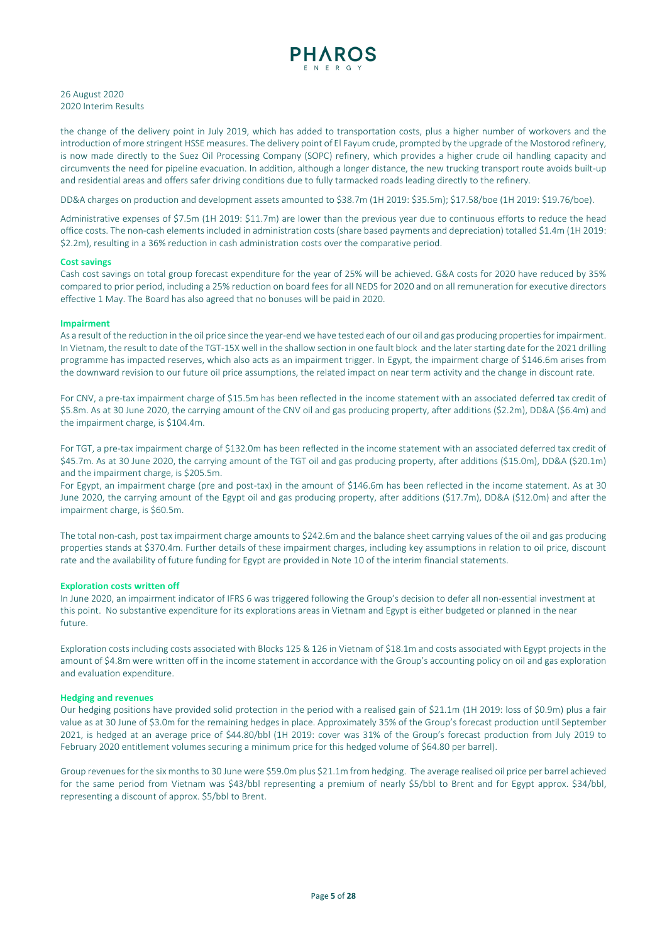

the change of the delivery point in July 2019, which has added to transportation costs, plus a higher number of workovers and the introduction of more stringent HSSE measures. The delivery point of El Fayum crude, prompted by the upgrade of the Mostorod refinery, is now made directly to the Suez Oil Processing Company (SOPC) refinery, which provides a higher crude oil handling capacity and circumvents the need for pipeline evacuation. In addition, although a longer distance, the new trucking transport route avoids built-up and residential areas and offers safer driving conditions due to fully tarmacked roads leading directly to the refinery.

DD&A charges on production and development assets amounted to \$38.7m (1H 2019: \$35.5m); \$17.58/boe (1H 2019: \$19.76/boe).

Administrative expenses of \$7.5m (1H 2019: \$11.7m) are lower than the previous year due to continuous efforts to reduce the head office costs. The non-cash elements included in administration costs (share based payments and depreciation) totalled \$1.4m (1H 2019: \$2.2m), resulting in a 36% reduction in cash administration costs over the comparative period.

#### **Cost savings**

Cash cost savings on total group forecast expenditure for the year of 25% will be achieved. G&A costs for 2020 have reduced by 35% compared to prior period, including a 25% reduction on board fees for all NEDS for 2020 and on all remuneration for executive directors effective 1 May. The Board has also agreed that no bonuses will be paid in 2020.

#### **Impairment**

As a result of the reduction in the oil price since the year-endwe have tested each of our oil and gas producing properties for impairment. In Vietnam, the result to date of the TGT-15X well in the shallow section in one fault block and the later starting date for the 2021 drilling programme has impacted reserves, which also acts as an impairment trigger. In Egypt, the impairment charge of \$146.6m arises from the downward revision to our future oil price assumptions, the related impact on near term activity and the change in discount rate.

For CNV, a pre-tax impairment charge of \$15.5m has been reflected in the income statement with an associated deferred tax credit of \$5.8m. As at 30 June 2020, the carrying amount of the CNV oil and gas producing property, after additions (\$2.2m), DD&A (\$6.4m) and the impairment charge, is \$104.4m.

For TGT, a pre-tax impairment charge of \$132.0m has been reflected in the income statement with an associated deferred tax credit of \$45.7m. As at 30 June 2020, the carrying amount of the TGT oil and gas producing property, after additions (\$15.0m), DD&A (\$20.1m) and the impairment charge, is \$205.5m.

For Egypt, an impairment charge (pre and post-tax) in the amount of \$146.6m has been reflected in the income statement. As at 30 June 2020, the carrying amount of the Egypt oil and gas producing property, after additions (\$17.7m), DD&A (\$12.0m) and after the impairment charge, is \$60.5m.

The total non-cash, post tax impairment charge amounts to \$242.6m and the balance sheet carrying values of the oil and gas producing properties stands at \$370.4m. Further details of these impairment charges, including key assumptions in relation to oil price, discount rate and the availability of future funding for Egypt are provided in Note 10 of the interim financial statements.

#### **Exploration costs written off**

In June 2020, an impairment indicator of IFRS 6 was triggered following the Group's decision to defer all non-essential investment at this point. No substantive expenditure for its explorations areas in Vietnam and Egypt is either budgeted or planned in the near future.

Exploration costs including costs associated with Blocks 125 & 126 in Vietnam of \$18.1m and costs associated with Egypt projects in the amount of \$4.8m were written off in the income statement in accordance with the Group's accounting policy on oil and gas exploration and evaluation expenditure.

### **Hedging and revenues**

Our hedging positions have provided solid protection in the period with a realised gain of \$21.1m (1H 2019: loss of \$0.9m) plus a fair value as at 30 June of \$3.0m for the remaining hedges in place. Approximately 35% of the Group's forecast production until September 2021, is hedged at an average price of \$44.80/bbl (1H 2019: cover was 31% of the Group's forecast production from July 2019 to February 2020 entitlement volumes securing a minimum price for this hedged volume of \$64.80 per barrel).

Group revenues for the six months to 30 June were \$59.0m plus \$21.1m from hedging. The average realised oil price per barrel achieved for the same period from Vietnam was \$43/bbl representing a premium of nearly \$5/bbl to Brent and for Egypt approx. \$34/bbl, representing a discount of approx. \$5/bbl to Brent.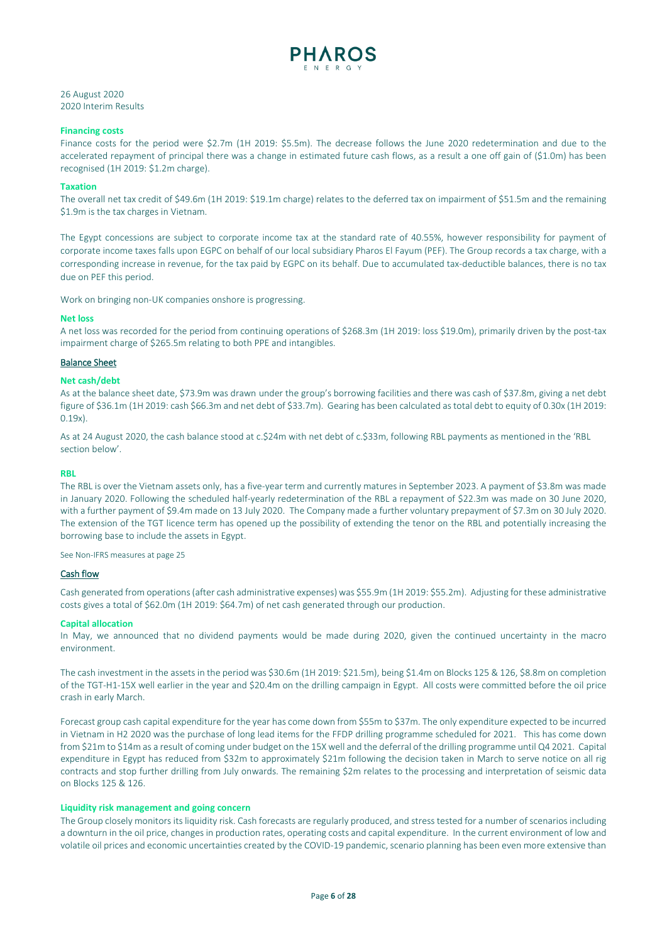

#### **Financing costs**

Finance costs for the period were \$2.7m (1H 2019: \$5.5m). The decrease follows the June 2020 redetermination and due to the accelerated repayment of principal there was a change in estimated future cash flows, as a result a one off gain of (\$1.0m) has been recognised (1H 2019: \$1.2m charge).

#### **Taxation**

The overall net tax credit of \$49.6m (1H 2019: \$19.1m charge) relates to the deferred tax on impairment of \$51.5m and the remaining \$1.9m is the tax charges in Vietnam.

The Egypt concessions are subject to corporate income tax at the standard rate of 40.55%, however responsibility for payment of corporate income taxes falls upon EGPC on behalf of our local subsidiary Pharos El Fayum (PEF). The Group records a tax charge, with a corresponding increase in revenue, for the tax paid by EGPC on its behalf. Due to accumulated tax-deductible balances, there is no tax due on PEF this period.

Work on bringing non-UK companies onshore is progressing.

#### **Net loss**

A net loss was recorded for the period from continuing operations of \$268.3m (1H 2019: loss \$19.0m), primarily driven by the post-tax impairment charge of \$265.5m relating to both PPE and intangibles.

### Balance Sheet

#### **Net cash/debt**

As at the balance sheet date, \$73.9m was drawn under the group's borrowing facilities and there was cash of \$37.8m, giving a net debt figure of \$36.1m (1H 2019: cash \$66.3m and net debt of \$33.7m). Gearing has been calculated as total debt to equity of 0.30x (1H 2019: 0.19x).

As at 24 August 2020, the cash balance stood at c.\$24m with net debt of c.\$33m, following RBL payments as mentioned in the 'RBL section below'.

#### **RBL**

The RBL is over the Vietnam assets only, has a five-year term and currently matures in September 2023. A payment of \$3.8m was made in January 2020. Following the scheduled half-yearly redetermination of the RBL a repayment of \$22.3m was made on 30 June 2020, with a further payment of \$9.4m made on 13 July 2020. The Company made a further voluntary prepayment of \$7.3m on 30 July 2020. The extension of the TGT licence term has opened up the possibility of extending the tenor on the RBL and potentially increasing the borrowing base to include the assets in Egypt.

See Non-IFRS measures at page 25

#### Cash flow

Cash generated from operations (after cash administrative expenses) was \$55.9m (1H 2019: \$55.2m). Adjusting for these administrative costs gives a total of \$62.0m (1H 2019: \$64.7m) of net cash generated through our production.

#### **Capital allocation**

In May, we announced that no dividend payments would be made during 2020, given the continued uncertainty in the macro environment.

The cash investment in the assets in the period was \$30.6m (1H 2019: \$21.5m), being \$1.4m on Blocks 125 & 126, \$8.8m on completion of the TGT-H1-15X well earlier in the year and \$20.4m on the drilling campaign in Egypt. All costs were committed before the oil price crash in early March.

Forecast group cash capital expenditure for the year has come down from \$55m to \$37m. The only expenditure expected to be incurred in Vietnam in H2 2020 was the purchase of long lead items for the FFDP drilling programme scheduled for 2021. This has come down from \$21m to \$14m as a result of coming under budget on the 15X well and the deferral of the drilling programme until Q4 2021. Capital expenditure in Egypt has reduced from \$32m to approximately \$21m following the decision taken in March to serve notice on all rig contracts and stop further drilling from July onwards. The remaining \$2m relates to the processing and interpretation of seismic data on Blocks 125 & 126.

#### **Liquidity risk management and going concern**

The Group closely monitors its liquidity risk. Cash forecasts are regularly produced, and stress tested for a number of scenarios including a downturn in the oil price, changes in production rates, operating costs and capital expenditure. In the current environment of low and volatile oil prices and economic uncertainties created by the COVID-19 pandemic, scenario planning has been even more extensive than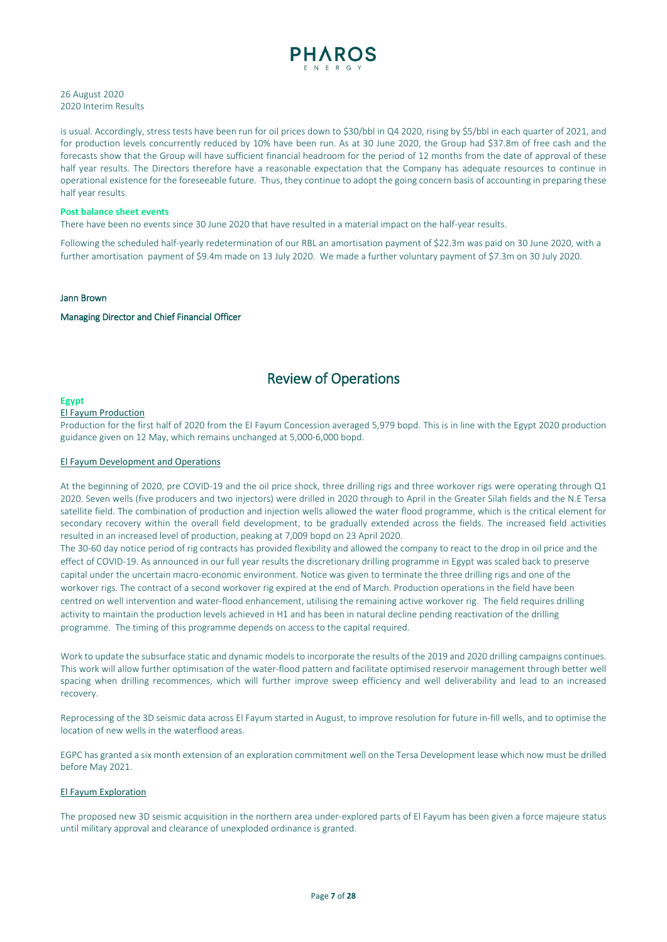

is usual. Accordingly, stress tests have been run for oil prices down to \$30/bbl in Q4 2020, rising by \$5/bbl in each quarter of 2021, and for production levels concurrently reduced by 10% have been run. As at 30 June 2020, the Group had \$37.8m of free cash and the forecasts show that the Group will have sufficient financial headroom for the period of 12 months from the date of approval of these half year results. The Directors therefore have a reasonable expectation that the Company has adequate resources to continue in operational existence for the foreseeable future. Thus, they continue to adopt the going concern basis of accounting in preparing these half year results.

#### **Post balance sheet events**

There have been no events since 30 June 2020 that have resulted in a material impact on the half-year results.

Following the scheduled half-yearly redetermination of our RBL an amortisation payment of \$22.3m was paid on 30 June 2020, with a further amortisation payment of \$9.4m made on 13 July 2020. We made a further voluntary payment of \$7.3m on 30 July 2020.

#### Jann Brown

#### Managing Director and Chief Financial Officer

# Review of Operations

#### **Egypt**

# El Fayum Production

Production for the first half of 2020 from the El Fayum Concession averaged 5,979 bopd. This is in line with the Egypt 2020 production guidance given on 12 May, which remains unchanged at 5,000-6,000 bopd.

#### El Fayum Development and Operations

At the beginning of 2020, pre COVID-19 and the oil price shock, three drilling rigs and three workover rigs were operating through Q1 2020. Seven wells (five producers and two injectors) were drilled in 2020 through to April in the Greater Silah fields and the N.E Tersa satellite field. The combination of production and injection wells allowed the water flood programme, which is the critical element for secondary recovery within the overall field development, to be gradually extended across the fields. The increased field activities resulted in an increased level of production, peaking at 7,009 bopd on 23 April 2020.

The 30-60 day notice period of rig contracts has provided flexibility and allowed the company to react to the drop in oil price and the effect of COVID-19. As announced in our full year results the discretionary drilling programme in Egypt was scaled back to preserve capital under the uncertain macro-economic environment. Notice was given to terminate the three drilling rigs and one of the workover rigs. The contract of a second workover rig expired at the end of March. Production operations in the field have been centred on well intervention and water-flood enhancement, utilising the remaining active workover rig. The field requires drilling activity to maintain the production levels achieved in H1 and has been in natural decline pending reactivation of the drilling programme. The timing of this programme depends on access to the capital required.

Work to update the subsurface static and dynamic models to incorporate the results of the 2019 and 2020 drilling campaigns continues. This work will allow further optimisation of the water-flood pattern and facilitate optimised reservoir management through better well spacing when drilling recommences, which will further improve sweep efficiency and well deliverability and lead to an increased recovery.

Reprocessing of the 3D seismic data across El Fayum started in August, to improve resolution for future in-fill wells, and to optimise the location of new wells in the waterflood areas.

EGPC has granted a six month extension of an exploration commitment well on the Tersa Development lease which now must be drilled before May 2021.

#### El Fayum Exploration

The proposed new 3D seismic acquisition in the northern area under-explored parts of El Fayum has been given a force majeure status until military approval and clearance of unexploded ordinance is granted.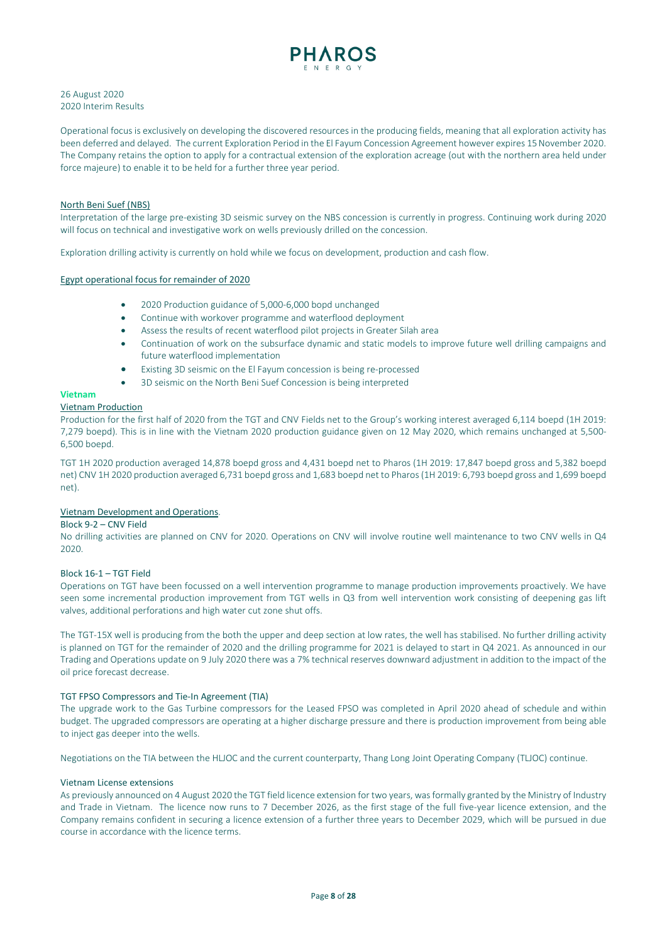

Operational focus is exclusively on developing the discovered resources in the producing fields, meaning that all exploration activity has been deferred and delayed. The current Exploration Period in the El Fayum Concession Agreement however expires 15 November 2020. The Company retains the option to apply for a contractual extension of the exploration acreage (out with the northern area held under force majeure) to enable it to be held for a further three year period.

#### North Beni Suef (NBS)

Interpretation of the large pre-existing 3D seismic survey on the NBS concession is currently in progress. Continuing work during 2020 will focus on technical and investigative work on wells previously drilled on the concession.

Exploration drilling activity is currently on hold while we focus on development, production and cash flow.

#### Egypt operational focus for remainder of 2020

- 2020 Production guidance of 5,000-6,000 bopd unchanged
- Continue with workover programme and waterflood deployment
- Assess the results of recent waterflood pilot projects in Greater Silah area
- Continuation of work on the subsurface dynamic and static models to improve future well drilling campaigns and future waterflood implementation
- Existing 3D seismic on the El Fayum concession is being re-processed
- 3D seismic on the North Beni Suef Concession is being interpreted

# **Vietnam**

#### Vietnam Production

Production for the first half of 2020 from the TGT and CNV Fields net to the Group's working interest averaged 6,114 boepd (1H 2019: 7,279 boepd). This is in line with the Vietnam 2020 production guidance given on 12 May 2020, which remains unchanged at 5,500- 6,500 boepd.

TGT 1H 2020 production averaged 14,878 boepd gross and 4,431 boepd net to Pharos (1H 2019: 17,847 boepd gross and 5,382 boepd net) CNV 1H 2020 production averaged 6,731 boepd gross and 1,683 boepd net to Pharos (1H 2019: 6,793 boepd gross and 1,699 boepd net).

# Vietnam Development and Operations.

### Block 9-2 – CNV Field

No drilling activities are planned on CNV for 2020. Operations on CNV will involve routine well maintenance to two CNV wells in Q4 2020.

#### Block 16-1 – TGT Field

Operations on TGT have been focussed on a well intervention programme to manage production improvements proactively. We have seen some incremental production improvement from TGT wells in Q3 from well intervention work consisting of deepening gas lift valves, additional perforations and high water cut zone shut offs.

The TGT-15X well is producing from the both the upper and deep section at low rates, the well has stabilised. No further drilling activity is planned on TGT for the remainder of 2020 and the drilling programme for 2021 is delayed to start in Q4 2021. As announced in our Trading and Operations update on 9 July 2020 there was a 7% technical reserves downward adjustment in addition to the impact of the oil price forecast decrease.

#### TGT FPSO Compressors and Tie-In Agreement (TIA)

The upgrade work to the Gas Turbine compressors for the Leased FPSO was completed in April 2020 ahead of schedule and within budget. The upgraded compressors are operating at a higher discharge pressure and there is production improvement from being able to inject gas deeper into the wells.

Negotiations on the TIA between the HLJOC and the current counterparty, Thang Long Joint Operating Company (TLJOC) continue.

#### Vietnam License extensions

As previously announced on 4 August 2020 the TGT field licence extension for two years, wasformally granted by the Ministry of Industry and Trade in Vietnam. The licence now runs to 7 December 2026, as the first stage of the full five-year licence extension, and the Company remains confident in securing a licence extension of a further three years to December 2029, which will be pursued in due course in accordance with the licence terms.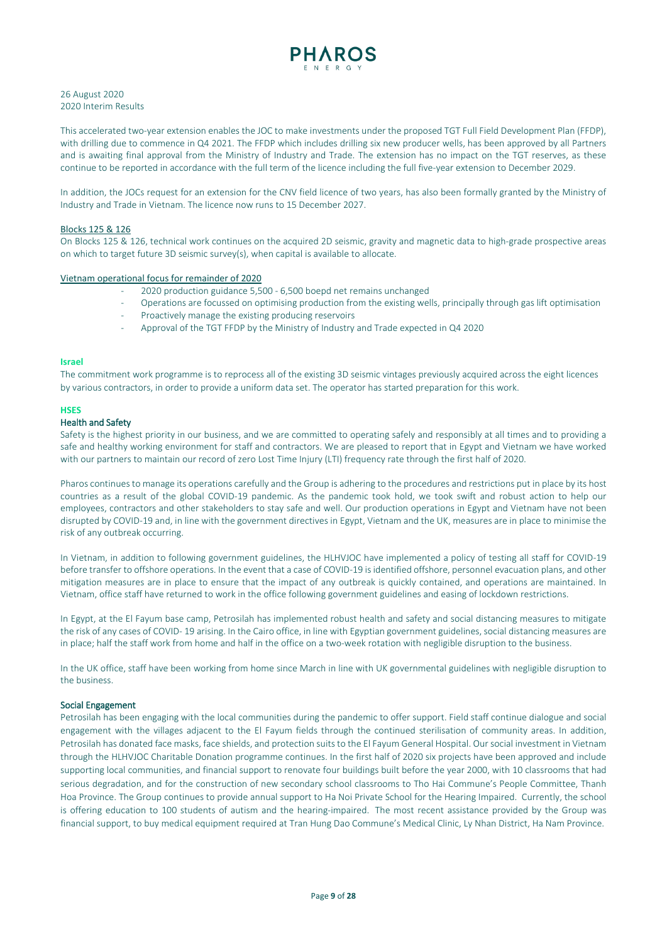

This accelerated two-year extension enables the JOC to make investments under the proposed TGT Full Field Development Plan (FFDP), with drilling due to commence in Q4 2021. The FFDP which includes drilling six new producer wells, has been approved by all Partners and is awaiting final approval from the Ministry of Industry and Trade. The extension has no impact on the TGT reserves, as these continue to be reported in accordance with the full term of the licence including the full five-year extension to December 2029.

In addition, the JOCs request for an extension for the CNV field licence of two years, has also been formally granted by the Ministry of Industry and Trade in Vietnam. The licence now runs to 15 December 2027.

#### Blocks 125 & 126

On Blocks 125 & 126, technical work continues on the acquired 2D seismic, gravity and magnetic data to high-grade prospective areas on which to target future 3D seismic survey(s), when capital is available to allocate.

#### Vietnam operational focus for remainder of 2020

- 2020 production guidance 5,500 6,500 boepd net remains unchanged
- Operations are focussed on optimising production from the existing wells, principally through gas lift optimisation
- Proactively manage the existing producing reservoirs
- Approval of the TGT FFDP by the Ministry of Industry and Trade expected in Q4 2020

### **Israel**

The commitment work programme is to reprocess all of the existing 3D seismic vintages previously acquired across the eight licences by various contractors, in order to provide a uniform data set. The operator has started preparation for this work.

#### **HSES**

# Health and Safety

Safety is the highest priority in our business, and we are committed to operating safely and responsibly at all times and to providing a safe and healthy working environment for staff and contractors. We are pleased to report that in Egypt and Vietnam we have worked with our partners to maintain our record of zero Lost Time Injury (LTI) frequency rate through the first half of 2020.

Pharos continues to manage its operations carefully and the Group is adhering to the procedures and restrictions put in place by its host countries as a result of the global COVID-19 pandemic. As the pandemic took hold, we took swift and robust action to help our employees, contractors and other stakeholders to stay safe and well. Our production operations in Egypt and Vietnam have not been disrupted by COVID-19 and, in line with the government directives in Egypt, Vietnam and the UK, measures are in place to minimise the risk of any outbreak occurring.

In Vietnam, in addition to following government guidelines, the HLHVJOC have implemented a policy of testing all staff for COVID-19 before transfer to offshore operations. In the event that a case of COVID-19 is identified offshore, personnel evacuation plans, and other mitigation measures are in place to ensure that the impact of any outbreak is quickly contained, and operations are maintained. In Vietnam, office staff have returned to work in the office following government guidelines and easing of lockdown restrictions.

In Egypt, at the El Fayum base camp, Petrosilah has implemented robust health and safety and social distancing measures to mitigate the risk of any cases of COVID- 19 arising. In the Cairo office, in line with Egyptian government guidelines, social distancing measures are in place; half the staff work from home and half in the office on a two-week rotation with negligible disruption to the business.

In the UK office, staff have been working from home since March in line with UK governmental guidelines with negligible disruption to the business.

#### Social Engagement

Petrosilah has been engaging with the local communities during the pandemic to offer support. Field staff continue dialogue and social engagement with the villages adjacent to the El Fayum fields through the continued sterilisation of community areas. In addition, Petrosilah has donated face masks, face shields, and protection suits to the El Fayum General Hospital. Our social investment in Vietnam through the HLHVJOC Charitable Donation programme continues. In the first half of 2020 six projects have been approved and include supporting local communities, and financial support to renovate four buildings built before the year 2000, with 10 classrooms that had serious degradation, and for the construction of new secondary school classrooms to Tho Hai Commune's People Committee, Thanh Hoa Province. The Group continues to provide annual support to Ha Noi Private School for the Hearing Impaired. Currently, the school is offering education to 100 students of autism and the hearing-impaired. The most recent assistance provided by the Group was financial support, to buy medical equipment required at Tran Hung Dao Commune's Medical Clinic, Ly Nhan District, Ha Nam Province.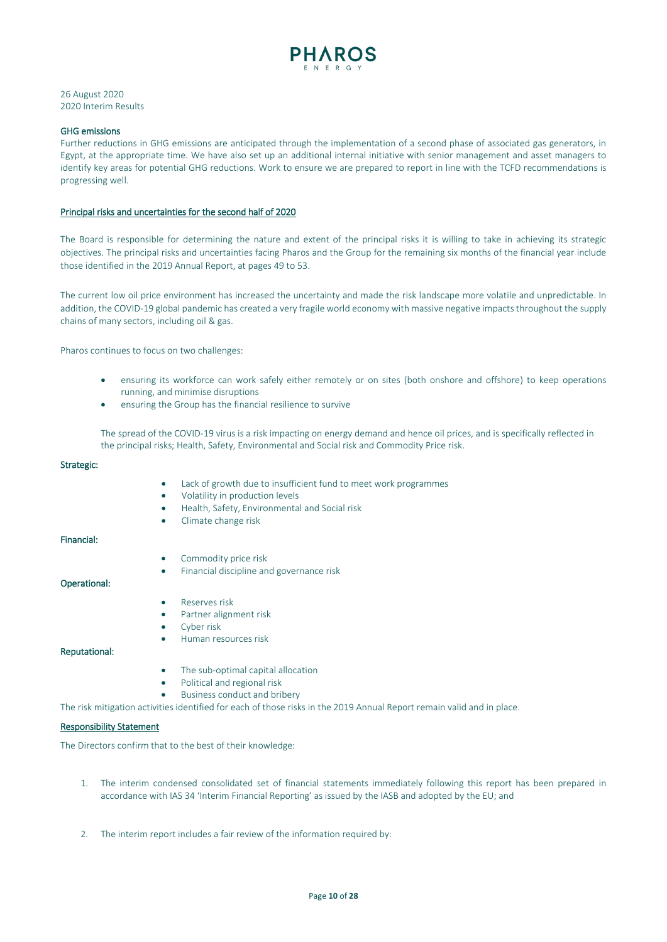

#### GHG emissions

Further reductions in GHG emissions are anticipated through the implementation of a second phase of associated gas generators, in Egypt, at the appropriate time. We have also set up an additional internal initiative with senior management and asset managers to identify key areas for potential GHG reductions. Work to ensure we are prepared to report in line with the TCFD recommendations is progressing well.

### Principal risks and uncertainties for the second half of 2020

The Board is responsible for determining the nature and extent of the principal risks it is willing to take in achieving its strategic objectives. The principal risks and uncertainties facing Pharos and the Group for the remaining six months of the financial year include those identified in the 2019 Annual Report, at pages 49 to 53.

The current low oil price environment has increased the uncertainty and made the risk landscape more volatile and unpredictable. In addition, the COVID-19 global pandemic has created a very fragile world economy with massive negative impacts throughout the supply chains of many sectors, including oil & gas.

Pharos continues to focus on two challenges:

- ensuring its workforce can work safely either remotely or on sites (both onshore and offshore) to keep operations running, and minimise disruptions
- ensuring the Group has the financial resilience to survive

The spread of the COVID-19 virus is a risk impacting on energy demand and hence oil prices, and is specifically reflected in the principal risks; Health, Safety, Environmental and Social risk and Commodity Price risk.

#### Strategic:

|               | Lack of growth due to insufficient fund to meet work programmes<br>$\bullet$<br>Volatility in production levels<br>$\bullet$<br>Health, Safety, Environmental and Social risk<br>$\bullet$ |
|---------------|--------------------------------------------------------------------------------------------------------------------------------------------------------------------------------------------|
|               | Climate change risk<br>$\bullet$                                                                                                                                                           |
| Financial:    |                                                                                                                                                                                            |
|               | Commodity price risk<br>$\bullet$                                                                                                                                                          |
|               | Financial discipline and governance risk<br>$\bullet$                                                                                                                                      |
| Operational:  |                                                                                                                                                                                            |
|               | Reserves risk<br>$\bullet$                                                                                                                                                                 |
|               | Partner alignment risk<br>$\bullet$                                                                                                                                                        |
|               | Cyber risk<br>$\bullet$                                                                                                                                                                    |
|               | Human resources risk<br>$\bullet$                                                                                                                                                          |
| Reputational: |                                                                                                                                                                                            |
|               | The sub-optimal capital allocation<br>$\bullet$                                                                                                                                            |
|               | Political and regional risk<br>$\bullet$                                                                                                                                                   |
|               | Business conduct and bribery<br>$\bullet$                                                                                                                                                  |
|               | The risk mitigation activities identified for each of those risks in the 2019 Annual Report remain valid and in place.                                                                     |

#### Responsibility Statement

The Directors confirm that to the best of their knowledge:

- 1. The interim condensed consolidated set of financial statements immediately following this report has been prepared in accordance with IAS 34 'Interim Financial Reporting' as issued by the IASB and adopted by the EU; and
- 2. The interim report includes a fair review of the information required by: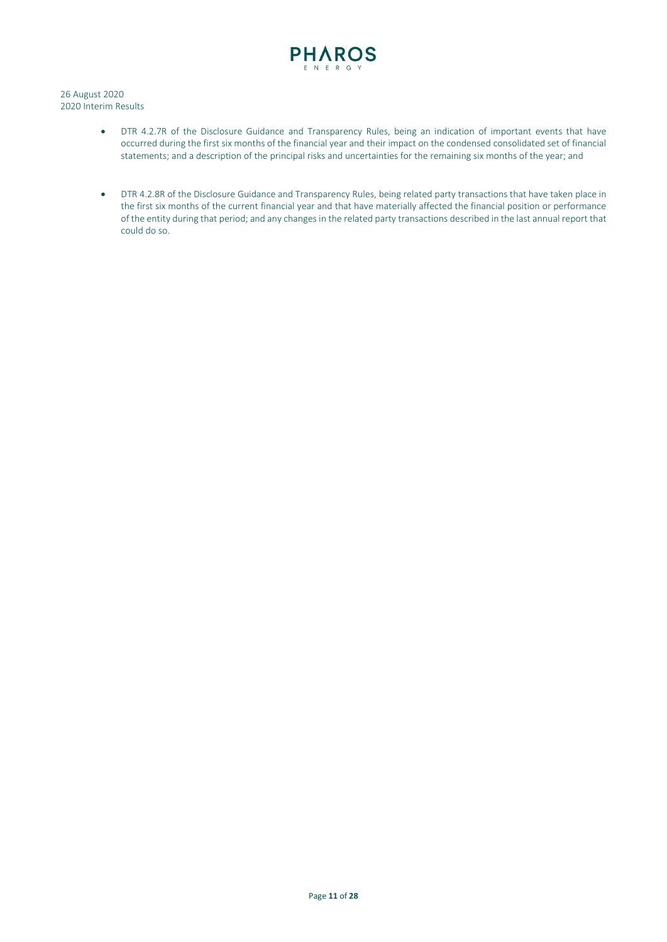

- DTR 4.2.7R of the Disclosure Guidance and Transparency Rules, being an indication of important events that have occurred during the first six months of the financial year and their impact on the condensed consolidated set of financial statements; and a description of the principal risks and uncertainties for the remaining six months of the year; and
- DTR 4.2.8R of the Disclosure Guidance and Transparency Rules, being related party transactions that have taken place in the first six months of the current financial year and that have materially affected the financial position or performance of the entity during that period; and any changes in the related party transactions described in the last annual report that could do so.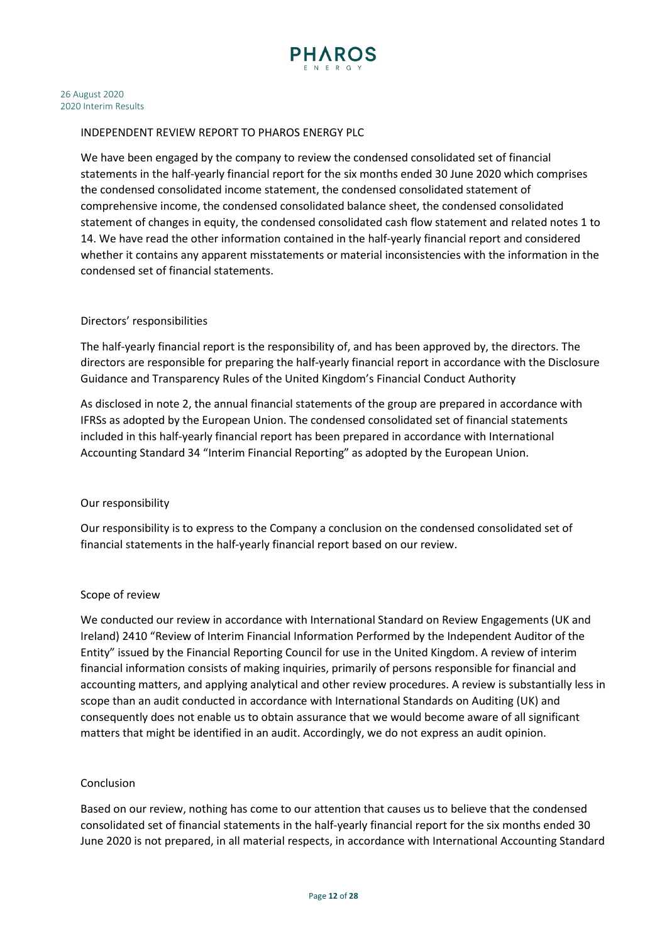

# INDEPENDENT REVIEW REPORT TO PHAROS ENERGY PLC

We have been engaged by the company to review the condensed consolidated set of financial statements in the half-yearly financial report for the six months ended 30 June 2020 which comprises the condensed consolidated income statement, the condensed consolidated statement of comprehensive income, the condensed consolidated balance sheet, the condensed consolidated statement of changes in equity, the condensed consolidated cash flow statement and related notes 1 to 14. We have read the other information contained in the half-yearly financial report and considered whether it contains any apparent misstatements or material inconsistencies with the information in the condensed set of financial statements.

# Directors' responsibilities

The half-yearly financial report is the responsibility of, and has been approved by, the directors. The directors are responsible for preparing the half-yearly financial report in accordance with the Disclosure Guidance and Transparency Rules of the United Kingdom's Financial Conduct Authority

As disclosed in note 2, the annual financial statements of the group are prepared in accordance with IFRSs as adopted by the European Union. The condensed consolidated set of financial statements included in this half-yearly financial report has been prepared in accordance with International Accounting Standard 34 "Interim Financial Reporting" as adopted by the European Union.

# Our responsibility

Our responsibility is to express to the Company a conclusion on the condensed consolidated set of financial statements in the half-yearly financial report based on our review.

# Scope of review

We conducted our review in accordance with International Standard on Review Engagements (UK and Ireland) 2410 "Review of Interim Financial Information Performed by the Independent Auditor of the Entity" issued by the Financial Reporting Council for use in the United Kingdom. A review of interim financial information consists of making inquiries, primarily of persons responsible for financial and accounting matters, and applying analytical and other review procedures. A review is substantially less in scope than an audit conducted in accordance with International Standards on Auditing (UK) and consequently does not enable us to obtain assurance that we would become aware of all significant matters that might be identified in an audit. Accordingly, we do not express an audit opinion.

# Conclusion

Based on our review, nothing has come to our attention that causes us to believe that the condensed consolidated set of financial statements in the half-yearly financial report for the six months ended 30 June 2020 is not prepared, in all material respects, in accordance with International Accounting Standard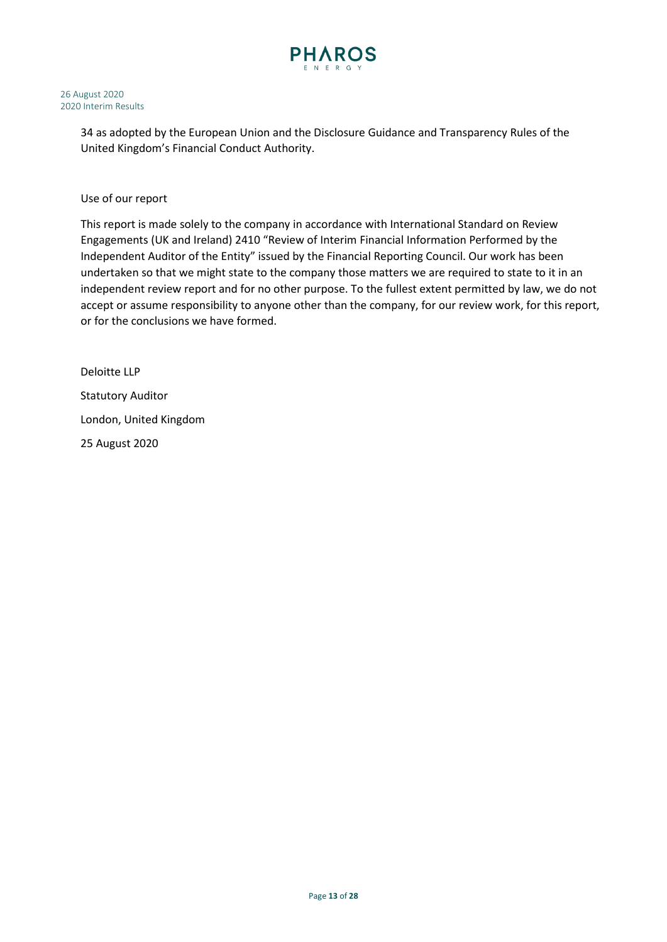

34 as adopted by the European Union and the Disclosure Guidance and Transparency Rules of the United Kingdom's Financial Conduct Authority.

# Use of our report

This report is made solely to the company in accordance with International Standard on Review Engagements (UK and Ireland) 2410 "Review of Interim Financial Information Performed by the Independent Auditor of the Entity" issued by the Financial Reporting Council. Our work has been undertaken so that we might state to the company those matters we are required to state to it in an independent review report and for no other purpose. To the fullest extent permitted by law, we do not accept or assume responsibility to anyone other than the company, for our review work, for this report, or for the conclusions we have formed.

Deloitte LLP Statutory Auditor London, United Kingdom 25 August 2020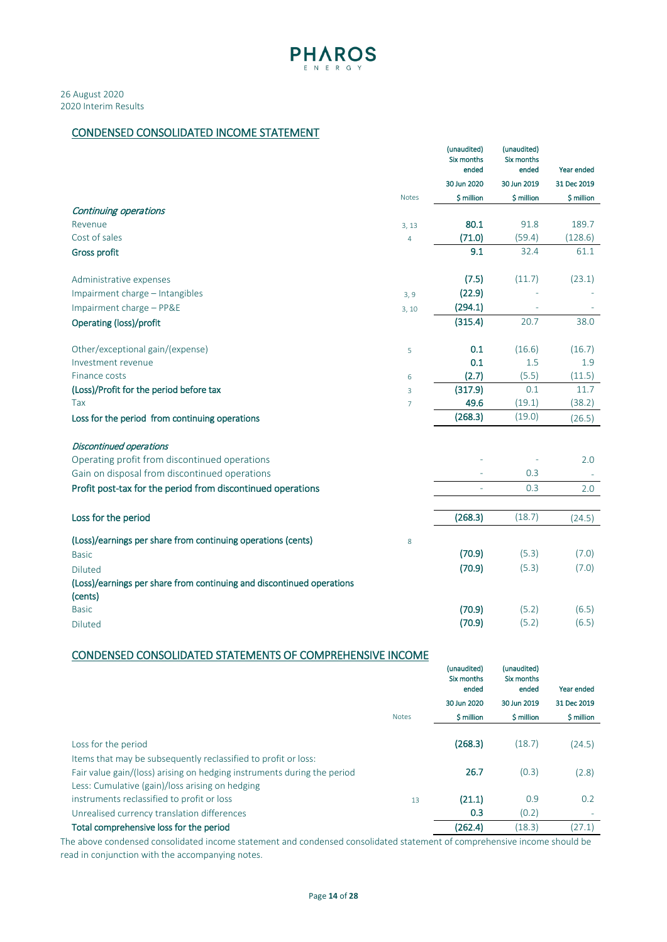

# CONDENSED CONSOLIDATED INCOME STATEMENT

|                                                                                  |                | (unaudited)<br>Six months<br>ended | (unaudited)<br>Six months<br>ended | Year ended  |
|----------------------------------------------------------------------------------|----------------|------------------------------------|------------------------------------|-------------|
|                                                                                  |                | 30 Jun 2020                        | 30 Jun 2019                        | 31 Dec 2019 |
|                                                                                  | <b>Notes</b>   | \$ million                         | \$ million                         | \$ million  |
| Continuing operations                                                            |                |                                    |                                    |             |
| Revenue                                                                          | 3, 13          | 80.1                               | 91.8                               | 189.7       |
| Cost of sales                                                                    | 4              | (71.0)                             | (59.4)                             | (128.6)     |
| Gross profit                                                                     |                | 9.1                                | 32.4                               | 61.1        |
| Administrative expenses                                                          |                | (7.5)                              | (11.7)                             | (23.1)      |
| Impairment charge - Intangibles                                                  | 3, 9           | (22.9)                             |                                    |             |
| Impairment charge - PP&E                                                         | 3, 10          | (294.1)                            |                                    |             |
| <b>Operating (loss)/profit</b>                                                   |                | (315.4)                            | 20.7                               | 38.0        |
| Other/exceptional gain/(expense)                                                 | 5              | 0.1                                | (16.6)                             | (16.7)      |
| Investment revenue                                                               |                | 0.1                                | 1.5                                | 1.9         |
| Finance costs                                                                    | 6              | (2.7)                              | (5.5)                              | (11.5)      |
| (Loss)/Profit for the period before tax                                          | 3              | (317.9)                            | 0.1                                | 11.7        |
| Tax                                                                              | $\overline{7}$ | 49.6                               | (19.1)                             | (38.2)      |
| Loss for the period from continuing operations                                   |                | (268.3)                            | (19.0)                             | (26.5)      |
| <b>Discontinued operations</b>                                                   |                |                                    |                                    |             |
| Operating profit from discontinued operations                                    |                |                                    |                                    | 2.0         |
| Gain on disposal from discontinued operations                                    |                |                                    | 0.3                                |             |
| Profit post-tax for the period from discontinued operations                      |                |                                    | 0.3                                | 2.0         |
| Loss for the period                                                              |                | (268.3)                            | (18.7)                             | (24.5)      |
|                                                                                  |                |                                    |                                    |             |
| (Loss)/earnings per share from continuing operations (cents)                     | 8              |                                    |                                    |             |
| <b>Basic</b>                                                                     |                | (70.9)                             | (5.3)                              | (7.0)       |
| <b>Diluted</b>                                                                   |                | (70.9)                             | (5.3)                              | (7.0)       |
| (Loss)/earnings per share from continuing and discontinued operations<br>(cents) |                |                                    |                                    |             |
| <b>Basic</b>                                                                     |                | (70.9)                             | (5.2)                              | (6.5)       |
| <b>Diluted</b>                                                                   |                | (70.9)                             | (5.2)                              | (6.5)       |

# CONDENSED CONSOLIDATED STATEMENTS OF COMPREHENSIVE INCOME

|                                                                                                                                                                                              |              | (unaudited)<br>Six months<br>ended | (unaudited)<br>Six months<br>ended | Year ended  |
|----------------------------------------------------------------------------------------------------------------------------------------------------------------------------------------------|--------------|------------------------------------|------------------------------------|-------------|
|                                                                                                                                                                                              |              | 30 Jun 2020                        | 30 Jun 2019                        | 31 Dec 2019 |
|                                                                                                                                                                                              | <b>Notes</b> | \$ million                         | \$ million                         | \$ million  |
| Loss for the period                                                                                                                                                                          |              | (268.3)                            | (18.7)                             | (24.5)      |
| Items that may be subsequently reclassified to profit or loss:<br>Fair value gain/(loss) arising on hedging instruments during the period<br>Less: Cumulative (gain)/loss arising on hedging |              | 26.7                               | (0.3)                              | (2.8)       |
| instruments reclassified to profit or loss<br>Unrealised currency translation differences                                                                                                    | 13           | (21.1)<br>0.3                      | 0.9<br>(0.2)                       | 0.2         |
| Total comprehensive loss for the period                                                                                                                                                      |              | (262.4)                            | (18.3)                             | (27.1)      |

The above condensed consolidated income statement and condensed consolidated statement of comprehensive income should be read in conjunction with the accompanying notes.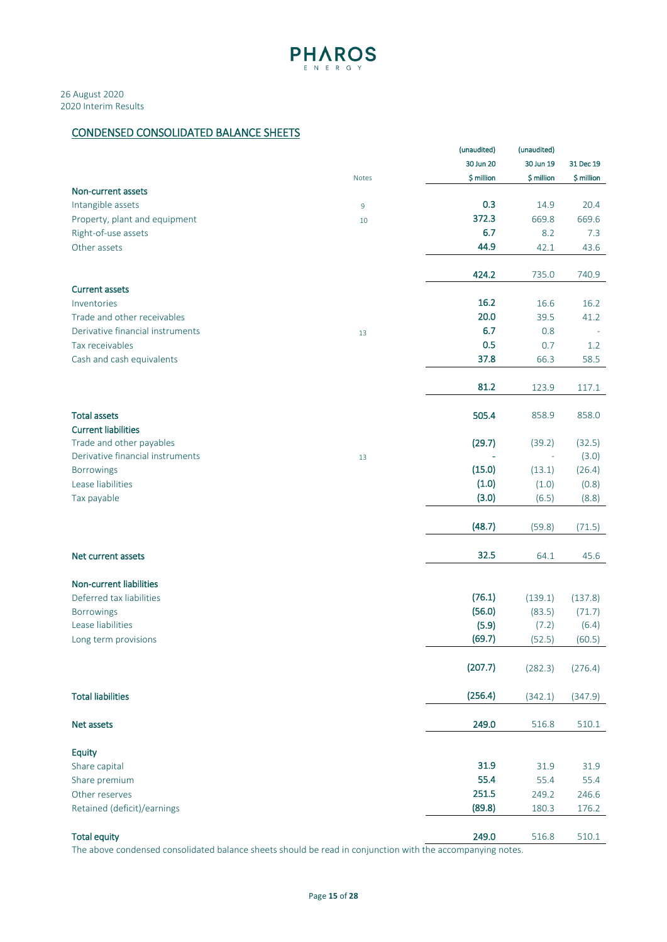

# CONDENSED CONSOLIDATED BALANCE SHEETS

|                                        |       | (unaudited) | (unaudited)         |            |
|----------------------------------------|-------|-------------|---------------------|------------|
|                                        |       | 30 Jun 20   | 30 Jun 19           | 31 Dec 19  |
|                                        | Notes | \$ million  | \$ million          | \$ million |
| Non-current assets                     |       |             |                     |            |
| Intangible assets                      | 9     | 0.3         | 14.9                | 20.4       |
| Property, plant and equipment          | 10    | 372.3       | 669.8               | 669.6      |
| Right-of-use assets                    |       | 6.7         | 8.2                 | 7.3        |
| Other assets                           |       | 44.9        |                     |            |
|                                        |       |             | 42.1                | 43.6       |
|                                        |       | 424.2       | 735.0               | 740.9      |
|                                        |       |             |                     |            |
| <b>Current assets</b>                  |       |             |                     |            |
| Inventories                            |       | 16.2        | 16.6                | 16.2       |
| Trade and other receivables            |       | 20.0        | 39.5                | 41.2       |
| Derivative financial instruments       | 13    | 6.7         | 0.8                 |            |
| Tax receivables                        |       | 0.5         | 0.7                 | 1.2        |
| Cash and cash equivalents              |       | 37.8        | 66.3                | 58.5       |
|                                        |       |             |                     |            |
|                                        |       | 81.2        | 123.9               | 117.1      |
|                                        |       |             |                     |            |
| <b>Total assets</b>                    |       | 505.4       | 858.9               | 858.0      |
| <b>Current liabilities</b>             |       |             |                     |            |
| Trade and other payables               |       | (29.7)      | (39.2)              | (32.5)     |
| Derivative financial instruments       | 13    |             | $\bar{\phantom{a}}$ | (3.0)      |
| <b>Borrowings</b>                      |       | (15.0)      | (13.1)              | (26.4)     |
| Lease liabilities                      |       | (1.0)       | (1.0)               | (0.8)      |
| Tax payable                            |       | (3.0)       | (6.5)               | (8.8)      |
|                                        |       |             |                     |            |
|                                        |       | (48.7)      | (59.8)              | (71.5)     |
|                                        |       |             |                     |            |
| Net current assets                     |       | 32.5        | 64.1                | 45.6       |
|                                        |       |             |                     |            |
| Non-current liabilities                |       |             |                     |            |
| Deferred tax liabilities               |       | (76.1)      | (139.1)             | (137.8)    |
|                                        |       | (56.0)      | (83.5)              | (71.7)     |
| <b>Borrowings</b><br>Lease liabilities |       | (5.9)       | (7.2)               | (6.4)      |
|                                        |       |             |                     |            |
| Long term provisions                   |       | (69.7)      | (52.5)              | (60.5)     |
|                                        |       |             |                     |            |
|                                        |       | (207.7)     | (282.3)             | (276.4)    |
|                                        |       |             |                     |            |
| <b>Total liabilities</b>               |       | (256.4)     | (342.1)             | (347.9)    |
|                                        |       |             |                     |            |
| Net assets                             |       | 249.0       | 516.8               | 510.1      |
|                                        |       |             |                     |            |
| <b>Equity</b>                          |       |             |                     |            |
| Share capital                          |       | 31.9        | 31.9                | 31.9       |
| Share premium                          |       | 55.4        | 55.4                | 55.4       |
| Other reserves                         |       | 251.5       | 249.2               | 246.6      |
| Retained (deficit)/earnings            |       | (89.8)      | 180.3               | 176.2      |
|                                        |       |             |                     |            |
| <b>Total equity</b>                    |       | 249.0       | 516.8               | 510.1      |

The above condensed consolidated balance sheets should be read in conjunction with the accompanying notes.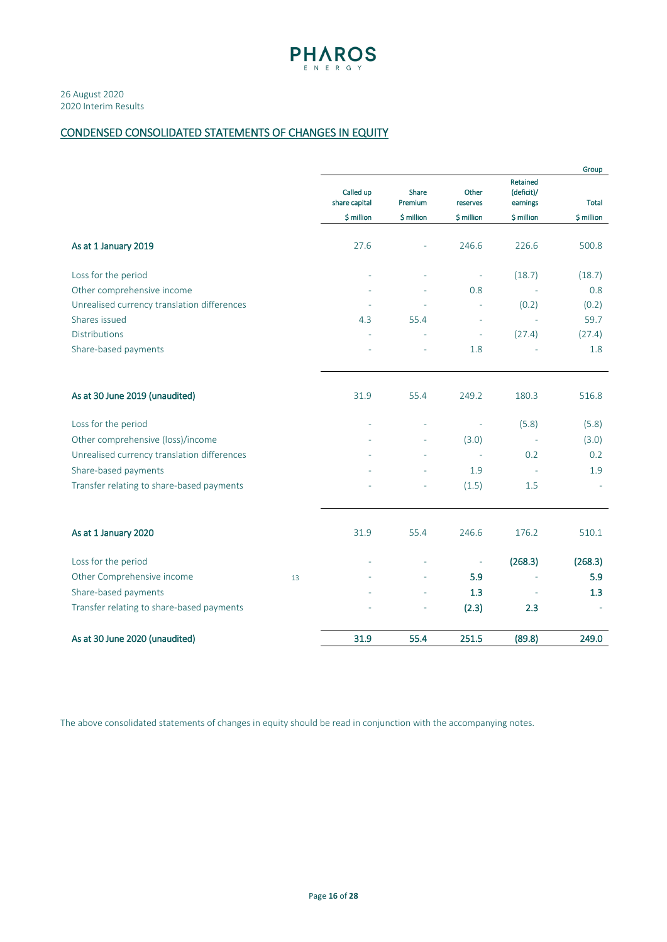

# CONDENSED CONSOLIDATED STATEMENTS OF CHANGES IN EQUITY

|                                             |    |                            |                  |                   |                                    | Group        |
|---------------------------------------------|----|----------------------------|------------------|-------------------|------------------------------------|--------------|
|                                             |    | Called up<br>share capital | Share<br>Premium | Other<br>reserves | Retained<br>(deficit)/<br>earnings | <b>Total</b> |
|                                             |    | \$ million                 | \$ million       | \$ million        | \$ million                         | \$ million   |
| As at 1 January 2019                        |    | 27.6                       |                  | 246.6             | 226.6                              | 500.8        |
| Loss for the period                         |    |                            |                  |                   | (18.7)                             | (18.7)       |
| Other comprehensive income                  |    |                            |                  | 0.8               |                                    | 0.8          |
| Unrealised currency translation differences |    |                            |                  |                   | (0.2)                              | (0.2)        |
| Shares issued                               |    | 4.3                        | 55.4             | ٠                 | $\overline{\phantom{a}}$           | 59.7         |
| <b>Distributions</b>                        |    | L,                         |                  |                   | (27.4)                             | (27.4)       |
| Share-based payments                        |    |                            |                  | 1.8               |                                    | 1.8          |
| As at 30 June 2019 (unaudited)              |    | 31.9                       | 55.4             | 249.2             | 180.3                              | 516.8        |
| Loss for the period                         |    |                            |                  |                   | (5.8)                              | (5.8)        |
| Other comprehensive (loss)/income           |    |                            |                  | (3.0)             |                                    | (3.0)        |
| Unrealised currency translation differences |    |                            |                  |                   | 0.2                                | 0.2          |
| Share-based payments                        |    |                            |                  | 1.9               |                                    | 1.9          |
| Transfer relating to share-based payments   |    |                            |                  | (1.5)             | 1.5                                |              |
| As at 1 January 2020                        |    | 31.9                       | 55.4             | 246.6             | 176.2                              | 510.1        |
| Loss for the period                         |    |                            |                  |                   | (268.3)                            | (268.3)      |
| Other Comprehensive income                  | 13 |                            | ÷.               | 5.9               |                                    | 5.9          |
| Share-based payments                        |    |                            |                  | 1.3               |                                    | 1.3          |
| Transfer relating to share-based payments   |    |                            |                  | (2.3)             | 2.3                                |              |
| As at 30 June 2020 (unaudited)              |    | 31.9                       | 55.4             | 251.5             | (89.8)                             | 249.0        |

The above consolidated statements of changes in equity should be read in conjunction with the accompanying notes.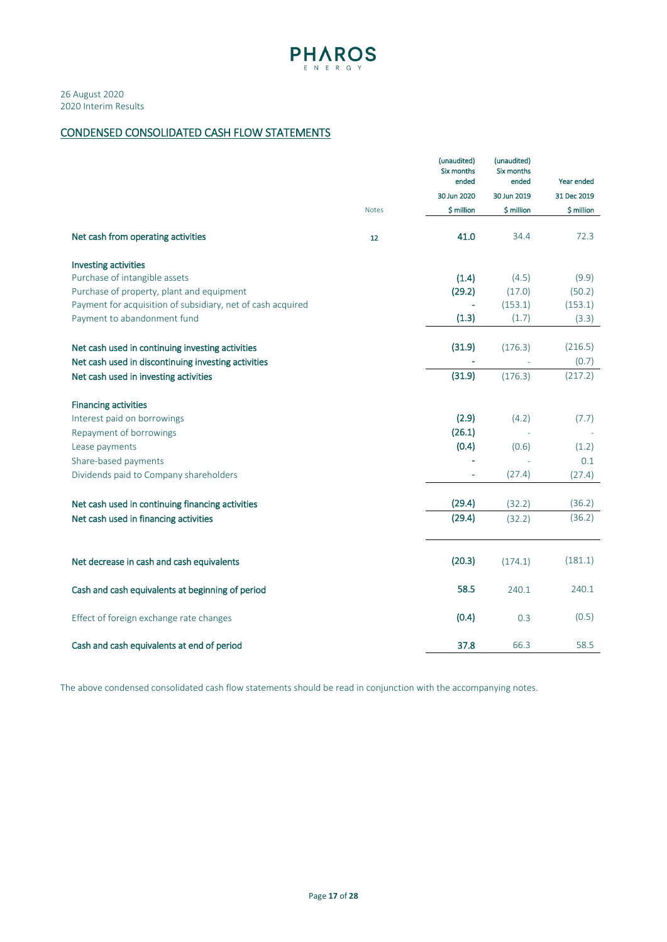

# CONDENSED CONSOLIDATED CASH FLOW STATEMENTS

|                                                             |              | (unaudited)<br>Six months<br>ended | (unaudited)<br><b>Six months</b><br>ended | Year ended  |
|-------------------------------------------------------------|--------------|------------------------------------|-------------------------------------------|-------------|
|                                                             |              | 30 Jun 2020                        | 30 Jun 2019                               | 31 Dec 2019 |
|                                                             | <b>Notes</b> | \$ million                         | \$ million                                | \$ million  |
| Net cash from operating activities                          | 12           | 41.0                               | 34.4                                      | 72.3        |
| Investing activities                                        |              |                                    |                                           |             |
| Purchase of intangible assets                               |              | (1.4)                              | (4.5)                                     | (9.9)       |
| Purchase of property, plant and equipment                   |              | (29.2)                             | (17.0)                                    | (50.2)      |
| Payment for acquisition of subsidiary, net of cash acquired |              |                                    | (153.1)                                   | (153.1)     |
| Payment to abandonment fund                                 |              | (1.3)                              | (1.7)                                     | (3.3)       |
| Net cash used in continuing investing activities            |              | (31.9)                             | (176.3)                                   | (216.5)     |
| Net cash used in discontinuing investing activities         |              |                                    |                                           | (0.7)       |
| Net cash used in investing activities                       |              | (31.9)                             | (176.3)                                   | (217.2)     |
| <b>Financing activities</b>                                 |              |                                    |                                           |             |
| Interest paid on borrowings                                 |              | (2.9)                              | (4.2)                                     | (7.7)       |
| Repayment of borrowings                                     |              | (26.1)                             |                                           |             |
| Lease payments                                              |              | (0.4)                              | (0.6)                                     | (1.2)       |
| Share-based payments                                        |              |                                    |                                           | 0.1         |
| Dividends paid to Company shareholders                      |              |                                    | (27.4)                                    | (27.4)      |
|                                                             |              |                                    |                                           |             |
| Net cash used in continuing financing activities            |              | (29.4)                             | (32.2)                                    | (36.2)      |
| Net cash used in financing activities                       |              | (29.4)                             | (32.2)                                    | (36.2)      |
|                                                             |              |                                    |                                           |             |
| Net decrease in cash and cash equivalents                   |              | (20.3)                             | (174.1)                                   | (181.1)     |
| Cash and cash equivalents at beginning of period            |              | 58.5                               | 240.1                                     | 240.1       |
| Effect of foreign exchange rate changes                     |              | (0.4)                              | 0.3                                       | (0.5)       |
| Cash and cash equivalents at end of period                  |              | 37.8                               | 66.3                                      | 58.5        |

The above condensed consolidated cash flow statements should be read in conjunction with the accompanying notes.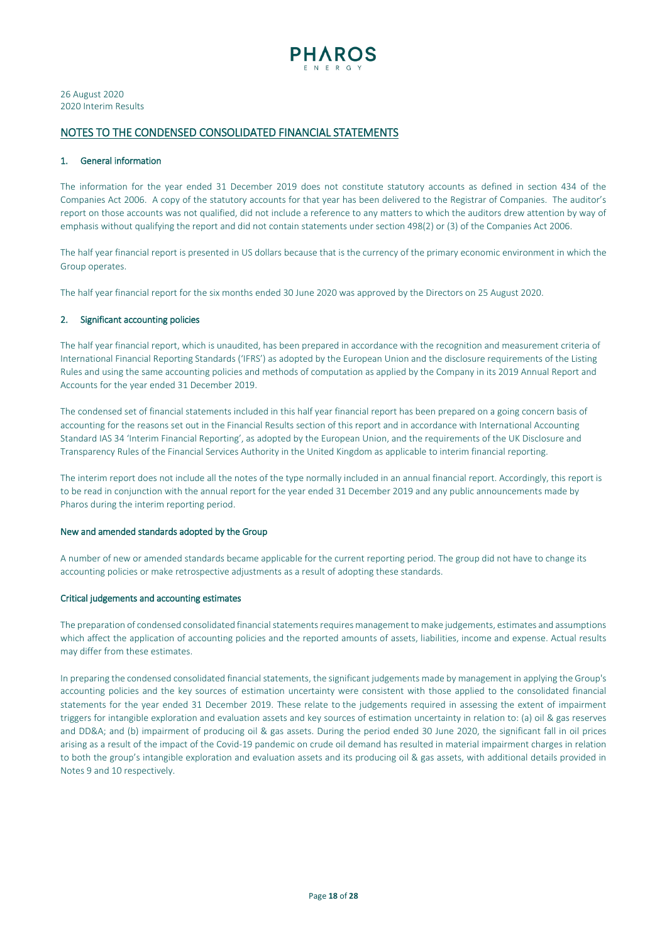

# NOTES TO THE CONDENSED CONSOLIDATED FINANCIAL STATEMENTS

#### 1. General information

The information for the year ended 31 December 2019 does not constitute statutory accounts as defined in section 434 of the Companies Act 2006. A copy of the statutory accounts for that year has been delivered to the Registrar of Companies. The auditor's report on those accounts was not qualified, did not include a reference to any matters to which the auditors drew attention by way of emphasis without qualifying the report and did not contain statements under section 498(2) or (3) of the Companies Act 2006.

The half year financial report is presented in US dollars because that is the currency of the primary economic environment in which the Group operates.

The half year financial report for the six months ended 30 June 2020 was approved by the Directors on 25 August 2020.

#### 2. Significant accounting policies

The half year financial report, which is unaudited, has been prepared in accordance with the recognition and measurement criteria of International Financial Reporting Standards ('IFRS') as adopted by the European Union and the disclosure requirements of the Listing Rules and using the same accounting policies and methods of computation as applied by the Company in its 2019 Annual Report and Accounts for the year ended 31 December 2019.

The condensed set of financial statements included in this half year financial report has been prepared on a going concern basis of accounting for the reasons set out in the Financial Results section of this report and in accordance with International Accounting Standard IAS 34 'Interim Financial Reporting', as adopted by the European Union, and the requirements of the UK Disclosure and Transparency Rules of the Financial Services Authority in the United Kingdom as applicable to interim financial reporting.

The interim report does not include all the notes of the type normally included in an annual financial report. Accordingly, this report is to be read in conjunction with the annual report for the year ended 31 December 2019 and any public announcements made by Pharos during the interim reporting period.

#### New and amended standards adopted by the Group

A number of new or amended standards became applicable for the current reporting period. The group did not have to change its accounting policies or make retrospective adjustments as a result of adopting these standards.

#### Critical judgements and accounting estimates

The preparation of condensed consolidated financial statements requires management to make judgements, estimates and assumptions which affect the application of accounting policies and the reported amounts of assets, liabilities, income and expense. Actual results may differ from these estimates.

In preparing the condensed consolidated financial statements, the significant judgements made by management in applying the Group's accounting policies and the key sources of estimation uncertainty were consistent with those applied to the consolidated financial statements for the year ended 31 December 2019. These relate to the judgements required in assessing the extent of impairment triggers for intangible exploration and evaluation assets and key sources of estimation uncertainty in relation to: (a) oil & gas reserves and DD&A; and (b) impairment of producing oil & gas assets. During the period ended 30 June 2020, the significant fall in oil prices arising as a result of the impact of the Covid-19 pandemic on crude oil demand has resulted in material impairment charges in relation to both the group's intangible exploration and evaluation assets and its producing oil & gas assets, with additional details provided in Notes 9 and 10 respectively.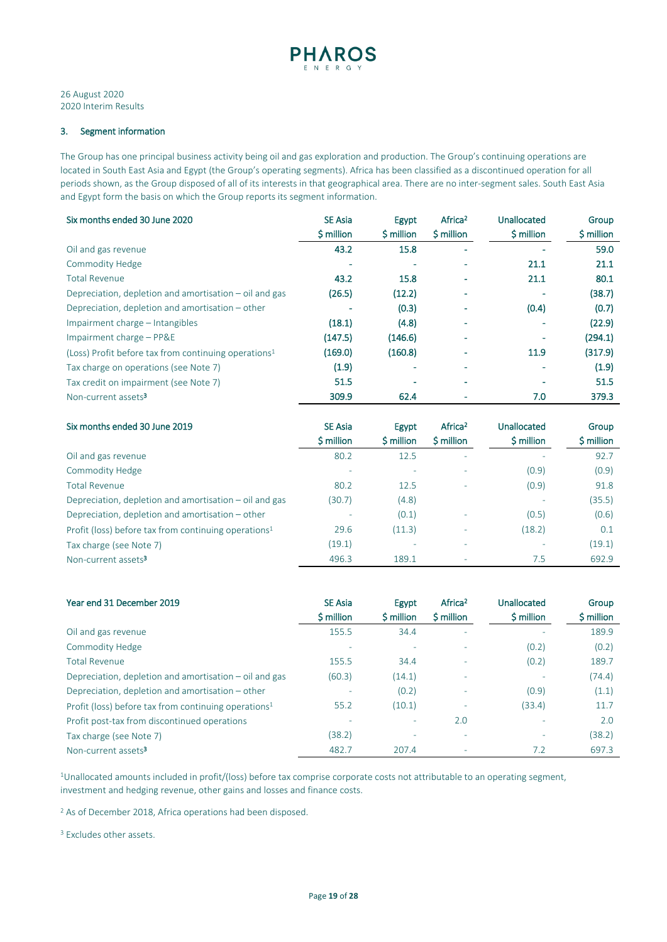

#### 3. Segment information

The Group has one principal business activity being oil and gas exploration and production. The Group's continuing operations are located in South East Asia and Egypt (the Group's operating segments). Africa has been classified as a discontinued operation for all periods shown, as the Group disposed of all of its interests in that geographical area. There are no inter-segment sales. South East Asia and Egypt form the basis on which the Group reports its segment information.

| Six months ended 30 June 2020                                    | <b>SE Asia</b> | Egypt      | Africa <sup>2</sup> | <b>Unallocated</b> | Group      |
|------------------------------------------------------------------|----------------|------------|---------------------|--------------------|------------|
|                                                                  | \$ million     | \$ million | \$ million          | \$ million         | \$ million |
| Oil and gas revenue                                              | 43.2           | 15.8       | ٠                   |                    | 59.0       |
| Commodity Hedge                                                  |                |            |                     | 21.1               | 21.1       |
| <b>Total Revenue</b>                                             | 43.2           | 15.8       |                     | 21.1               | 80.1       |
| Depreciation, depletion and amortisation – oil and gas           | (26.5)         | (12.2)     |                     |                    | (38.7)     |
| Depreciation, depletion and amortisation – other                 |                | (0.3)      |                     | (0.4)              | (0.7)      |
| Impairment charge - Intangibles                                  | (18.1)         | (4.8)      |                     |                    | (22.9)     |
| Impairment charge - PP&E                                         | (147.5)        | (146.6)    |                     |                    | (294.1)    |
| (Loss) Profit before tax from continuing operations <sup>1</sup> | (169.0)        | (160.8)    |                     | 11.9               | (317.9)    |
| Tax charge on operations (see Note 7)                            | (1.9)          |            |                     |                    | (1.9)      |
| Tax credit on impairment (see Note 7)                            | 51.5           |            |                     |                    | 51.5       |
| Non-current assets <sup>3</sup>                                  | 309.9          | 62.4       |                     | 7.0                | 379.3      |

| Six months ended 30 June 2019                                    | <b>SE Asia</b><br>\$ million | Egypt<br>\$ million | Africa <sup>2</sup><br>\$ million | Unallocated<br>\$ million | Group<br>\$ million |
|------------------------------------------------------------------|------------------------------|---------------------|-----------------------------------|---------------------------|---------------------|
| Oil and gas revenue                                              | 80.2                         | 12.5                | ۰                                 | ٠                         | 92.7                |
| Commodity Hedge                                                  | ۰                            | ۰                   |                                   | (0.9)                     | (0.9)               |
| <b>Total Revenue</b>                                             | 80.2                         | 12.5                |                                   | (0.9)                     | 91.8                |
| Depreciation, depletion and amortisation $-$ oil and gas         | (30.7)                       | (4.8)               |                                   | ٠                         | (35.5)              |
| Depreciation, depletion and amortisation – other                 | ۰                            | (0.1)               | ٠                                 | (0.5)                     | (0.6)               |
| Profit (loss) before tax from continuing operations <sup>1</sup> | 29.6                         | (11.3)              | ۰                                 | (18.2)                    | 0.1                 |
| Tax charge (see Note 7)                                          | (19.1)                       | ۰                   |                                   | ٠                         | (19.1)              |
| Non-current assets <sup>3</sup>                                  | 496.3                        | 189.1               |                                   | 7.5                       | 692.9               |

| Year end 31 December 2019                                        | <b>SE Asia</b> | Egypt      | Africa <sup>2</sup> | Unallocated | Group      |
|------------------------------------------------------------------|----------------|------------|---------------------|-------------|------------|
|                                                                  | \$ million     | \$ million | \$ million          | \$ million  | \$ million |
| Oil and gas revenue                                              | 155.5          | 34.4       |                     |             | 189.9      |
| Commodity Hedge                                                  | ۰              |            |                     | (0.2)       | (0.2)      |
| <b>Total Revenue</b>                                             | 155.5          | 34.4       |                     | (0.2)       | 189.7      |
| Depreciation, depletion and amortisation $-$ oil and gas         | (60.3)         | (14.1)     | ٠                   | ٠           | (74.4)     |
| Depreciation, depletion and amortisation – other                 | ۰              | (0.2)      | ٠                   | (0.9)       | (1.1)      |
| Profit (loss) before tax from continuing operations <sup>1</sup> | 55.2           | (10.1)     | ٠                   | (33.4)      | 11.7       |
| Profit post-tax from discontinued operations                     | ۰              | ۰          | 2.0                 | ٠           | 2.0        |
| Tax charge (see Note 7)                                          | (38.2)         | ٠          |                     | -           | (38.2)     |
| Non-current assets <sup>3</sup>                                  | 482.7          | 207.4      |                     | 7.2         | 697.3      |

1Unallocated amounts included in profit/(loss) before tax comprise corporate costs not attributable to an operating segment, investment and hedging revenue, other gains and losses and finance costs.

<sup>2</sup> As of December 2018, Africa operations had been disposed.

<sup>3</sup> Excludes other assets.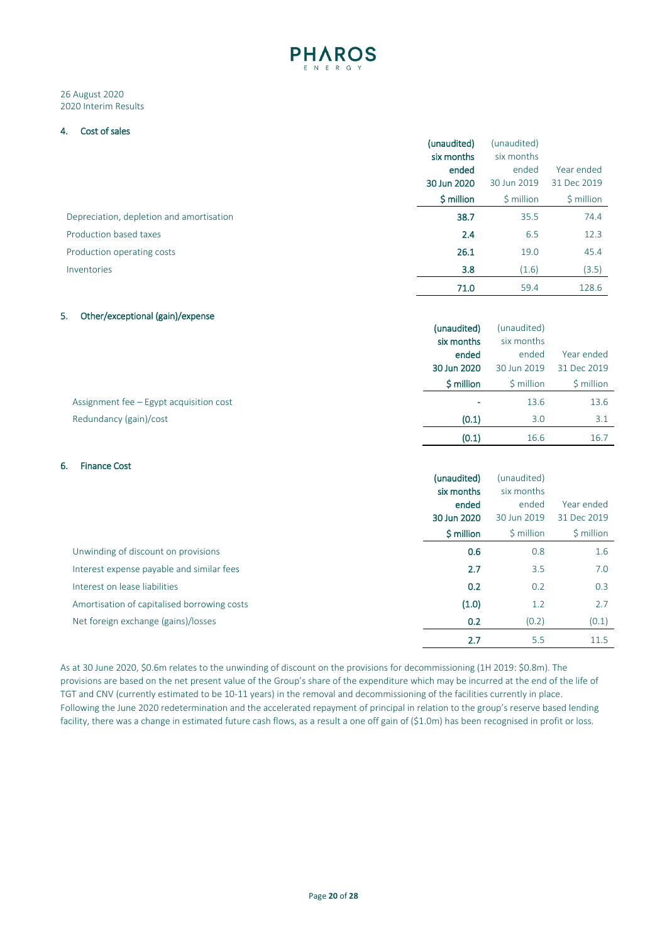

# 4. Cost of sales

|                                          | (unaudited) | (unaudited) |             |
|------------------------------------------|-------------|-------------|-------------|
|                                          | six months  | six months  |             |
|                                          | ended       | ended       | Year ended  |
|                                          | 30 Jun 2020 | 30 Jun 2019 | 31 Dec 2019 |
|                                          | \$ million  | \$ million  | \$ million  |
| Depreciation, depletion and amortisation | 38.7        | 35.5        | 74.4        |
| Production based taxes                   | 2.4         | 6.5         | 12.3        |
| Production operating costs               | 26.1        | 19.0        | 45.4        |
| Inventories                              | 3.8         | (1.6)       | (3.5)       |
|                                          | 71.0        | 59.4        | 128.6       |

# 5. Other/exceptional (gain)/expense

|                                         | (unaudited) | (unaudited) |             |
|-----------------------------------------|-------------|-------------|-------------|
|                                         | six months  | six months  |             |
|                                         | ended       | ended       | Year ended  |
|                                         | 30 Jun 2020 | 30 Jun 2019 | 31 Dec 2019 |
|                                         | \$ million  | \$ million  | \$ million  |
| Assignment fee - Egypt acquisition cost | ٠           | 13.6        | 13.6        |
| Redundancy (gain)/cost                  | (0.1)       | 3.0         | 3.1         |
|                                         | (0.1)       | 16.6        | 16.7        |

# 6. Finance Cost

|                                             | (unaudited) | (unaudited) |             |
|---------------------------------------------|-------------|-------------|-------------|
|                                             | six months  | six months  |             |
|                                             | ended       | ended       | Year ended  |
|                                             | 30 Jun 2020 | 30 Jun 2019 | 31 Dec 2019 |
|                                             | $$$ million | \$ million  | \$ million  |
| Unwinding of discount on provisions         | 0.6         | 0.8         | 1.6         |
| Interest expense payable and similar fees   | 2.7         | 3.5         | 7.0         |
| Interest on lease liabilities               | 0.2         | 0.2         | 0.3         |
| Amortisation of capitalised borrowing costs | (1.0)       | 1.2         | 2.7         |
| Net foreign exchange (gains)/losses         | 0.2         | (0.2)       | (0.1)       |
|                                             | 2.7         | 5.5         | 11.5        |

As at 30 June 2020, \$0.6m relates to the unwinding of discount on the provisions for decommissioning (1H 2019: \$0.8m). The provisions are based on the net present value of the Group's share of the expenditure which may be incurred at the end of the life of TGT and CNV (currently estimated to be 10-11 years) in the removal and decommissioning of the facilities currently in place. Following the June 2020 redetermination and the accelerated repayment of principal in relation to the group's reserve based lending facility, there was a change in estimated future cash flows, as a result a one off gain of (\$1.0m) has been recognised in profit or loss.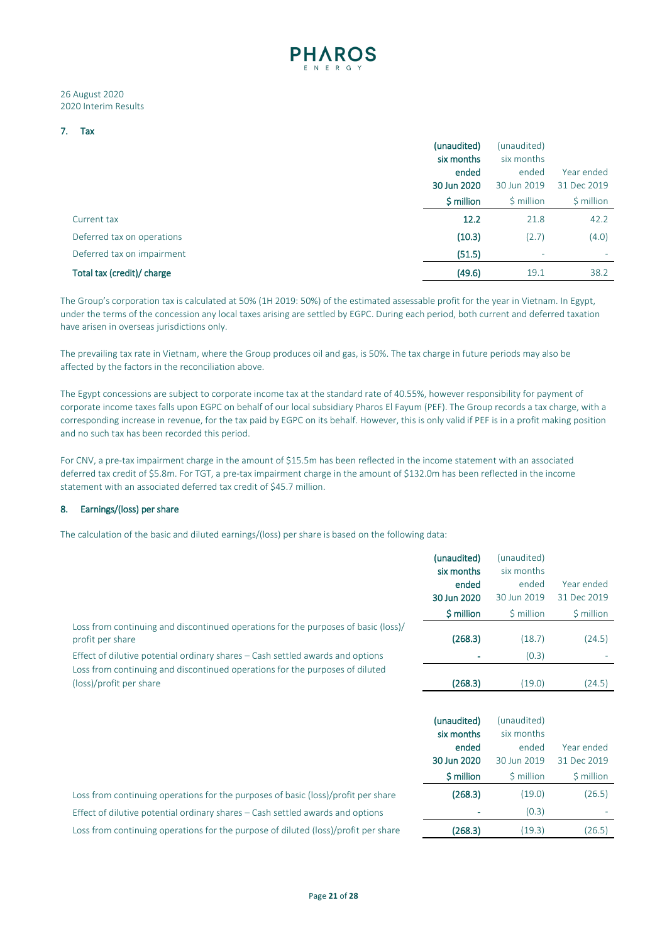

# 7. Tax

|                            | (unaudited)<br>six months | (unaudited)<br>six months |             |
|----------------------------|---------------------------|---------------------------|-------------|
|                            | ended                     | ended                     | Year ended  |
|                            | 30 Jun 2020               | 30 Jun 2019               | 31 Dec 2019 |
|                            | \$ million                | \$ million                | \$ million  |
| Current tax                | 12.2                      | 21.8                      | 42.2        |
| Deferred tax on operations | (10.3)                    | (2.7)                     | (4.0)       |
| Deferred tax on impairment | (51.5)                    | ۰                         |             |
| Total tax (credit)/ charge | (49.6)                    | 19.1                      | 38.2        |

The Group's corporation tax is calculated at 50% (1H 2019: 50%) of the estimated assessable profit for the year in Vietnam. In Egypt, under the terms of the concession any local taxes arising are settled by EGPC. During each period, both current and deferred taxation have arisen in overseas jurisdictions only.

The prevailing tax rate in Vietnam, where the Group produces oil and gas, is 50%. The tax charge in future periods may also be affected by the factors in the reconciliation above.

The Egypt concessions are subject to corporate income tax at the standard rate of 40.55%, however responsibility for payment of corporate income taxes falls upon EGPC on behalf of our local subsidiary Pharos El Fayum (PEF). The Group records a tax charge, with a corresponding increase in revenue, for the tax paid by EGPC on its behalf. However, this is only valid if PEF is in a profit making position and no such tax has been recorded this period.

For CNV, a pre-tax impairment charge in the amount of \$15.5m has been reflected in the income statement with an associated deferred tax credit of \$5.8m. For TGT, a pre-tax impairment charge in the amount of \$132.0m has been reflected in the income statement with an associated deferred tax credit of \$45.7 million.

# 8. Earnings/(loss) per share

The calculation of the basic and diluted earnings/(loss) per share is based on the following data:

|                                                                                                         | (unaudited)<br>six months<br>ended<br>30 Jun 2020 | (unaudited)<br>six months<br>ended<br>30 Jun 2019 | Year ended<br>31 Dec 2019 |
|---------------------------------------------------------------------------------------------------------|---------------------------------------------------|---------------------------------------------------|---------------------------|
|                                                                                                         | \$ million                                        | \$ million                                        | \$ million                |
| Loss from continuing and discontinued operations for the purposes of basic (loss)/<br>profit per share  | (268.3)                                           | (18.7)                                            | (24.5)                    |
| Effect of dilutive potential ordinary shares – Cash settled awards and options                          | ٠                                                 | (0.3)                                             |                           |
| Loss from continuing and discontinued operations for the purposes of diluted<br>(loss)/profit per share | (268.3)                                           | (19.0)                                            | (24.5)                    |
|                                                                                                         |                                                   |                                                   |                           |
|                                                                                                         | (unaudited)<br>six months<br>ended                | (unaudited)<br>six months<br>ended                | Year ended                |

| Loss from continuing operations for the purposes of basic (loss)/profit per share  | (268.3) | (19.0) | (26.5) |
|------------------------------------------------------------------------------------|---------|--------|--------|
| Effect of dilutive potential ordinary shares – Cash settled awards and options     | -       | (0.3)  |        |
| Loss from continuing operations for the purpose of diluted (loss)/profit per share | (268.3) | (19.3) | (26.5) |

|                                        | six months  | six months  |             |
|----------------------------------------|-------------|-------------|-------------|
|                                        | ended       | ended       | Year ended  |
|                                        | 30 Jun 2020 | 30 Jun 2019 | 31 Dec 2019 |
|                                        | \$ million  | \$ million  | \$ million  |
| oses of basic (loss)/profit per share  | (268.3)     | (19.0)      | (26.5)      |
| ash settled awards and options         |             | (0.3)       |             |
| ose of diluted (loss)/profit per share | (268.3)     | (19.3)      | (26.5)      |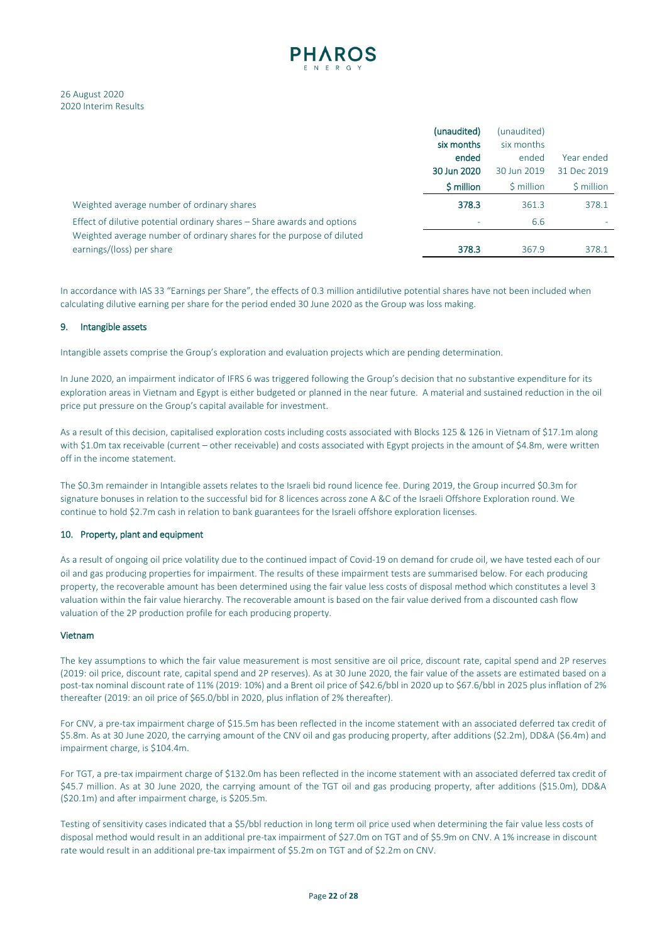

|                                                                         | (unaudited)<br>six months<br>ended<br>30 Jun 2020 | (unaudited)<br>six months<br>ended<br>30 Jun 2019 | Year ended<br>31 Dec 2019 |
|-------------------------------------------------------------------------|---------------------------------------------------|---------------------------------------------------|---------------------------|
|                                                                         | \$ million                                        | \$ million                                        | \$ million                |
| Weighted average number of ordinary shares                              | 378.3                                             | 361.3                                             | 378.1                     |
| Effect of dilutive potential ordinary shares – Share awards and options | $\overline{\phantom{a}}$                          | 6.6                                               |                           |
| Weighted average number of ordinary shares for the purpose of diluted   |                                                   |                                                   |                           |
| earnings/(loss) per share                                               | 378.3                                             | 367.9                                             | 378.1                     |

In accordance with IAS 33 "Earnings per Share", the effects of 0.3 million antidilutive potential shares have not been included when calculating dilutive earning per share for the period ended 30 June 2020 as the Group was loss making.

# 9. Intangible assets

Intangible assets comprise the Group's exploration and evaluation projects which are pending determination.

In June 2020, an impairment indicator of IFRS 6 was triggered following the Group's decision that no substantive expenditure for its exploration areas in Vietnam and Egypt is either budgeted or planned in the near future. A material and sustained reduction in the oil price put pressure on the Group's capital available for investment.

As a result of this decision, capitalised exploration costs including costs associated with Blocks 125 & 126 in Vietnam of \$17.1m along with \$1.0m tax receivable (current – other receivable) and costs associated with Egypt projects in the amount of \$4.8m, were written off in the income statement.

The \$0.3m remainder in Intangible assets relates to the Israeli bid round licence fee. During 2019, the Group incurred \$0.3m for signature bonuses in relation to the successful bid for 8 licences across zone A &C of the Israeli Offshore Exploration round. We continue to hold \$2.7m cash in relation to bank guarantees for the Israeli offshore exploration licenses.

#### 10. Property, plant and equipment

As a result of ongoing oil price volatility due to the continued impact of Covid-19 on demand for crude oil, we have tested each of our oil and gas producing properties for impairment. The results of these impairment tests are summarised below. For each producing property, the recoverable amount has been determined using the fair value less costs of disposal method which constitutes a level 3 valuation within the fair value hierarchy. The recoverable amount is based on the fair value derived from a discounted cash flow valuation of the 2P production profile for each producing property.

### Vietnam

The key assumptions to which the fair value measurement is most sensitive are oil price, discount rate, capital spend and 2P reserves (2019: oil price, discount rate, capital spend and 2P reserves). As at 30 June 2020, the fair value of the assets are estimated based on a post-tax nominal discount rate of 11% (2019: 10%) and a Brent oil price of \$42.6/bbl in 2020 up to \$67.6/bbl in 2025 plus inflation of 2% thereafter (2019: an oil price of \$65.0/bbl in 2020, plus inflation of 2% thereafter).

For CNV, a pre-tax impairment charge of \$15.5m has been reflected in the income statement with an associated deferred tax credit of \$5.8m. As at 30 June 2020, the carrying amount of the CNV oil and gas producing property, after additions (\$2.2m), DD&A (\$6.4m) and impairment charge, is \$104.4m.

For TGT, a pre-tax impairment charge of \$132.0m has been reflected in the income statement with an associated deferred tax credit of \$45.7 million. As at 30 June 2020, the carrying amount of the TGT oil and gas producing property, after additions (\$15.0m), DD&A (\$20.1m) and after impairment charge, is \$205.5m.

Testing of sensitivity cases indicated that a \$5/bbl reduction in long term oil price used when determining the fair value less costs of disposal method would result in an additional pre-tax impairment of \$27.0m on TGT and of \$5.9m on CNV. A 1% increase in discount rate would result in an additional pre-tax impairment of \$5.2m on TGT and of \$2.2m on CNV.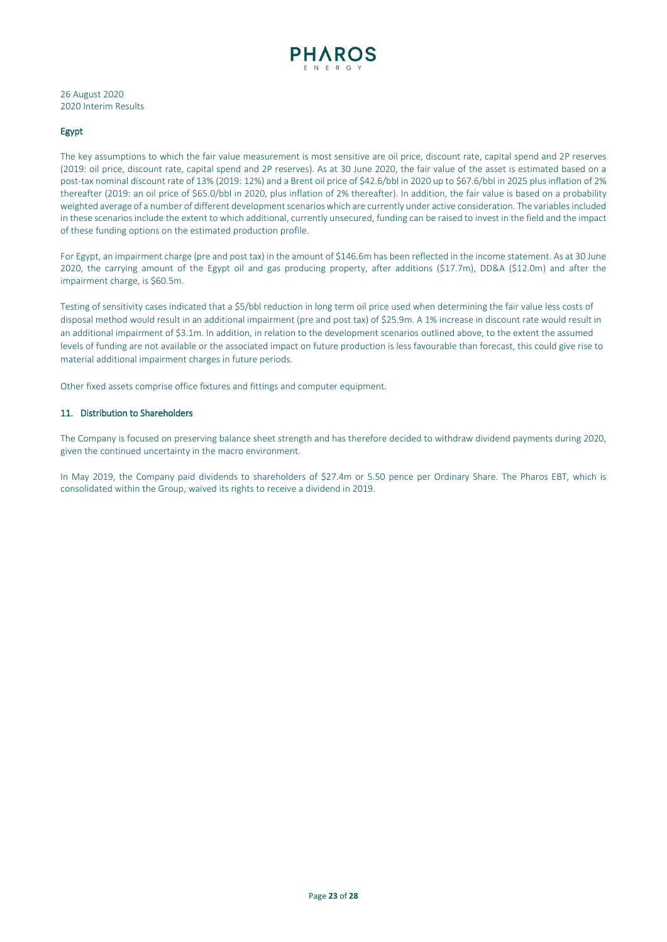

# Egypt

The key assumptions to which the fair value measurement is most sensitive are oil price, discount rate, capital spend and 2P reserves (2019: oil price, discount rate, capital spend and 2P reserves). As at 30 June 2020, the fair value of the asset is estimated based on a post-tax nominal discount rate of 13% (2019: 12%) and a Brent oil price of \$42.6/bbl in 2020 up to \$67.6/bbl in 2025 plus inflation of 2% thereafter (2019: an oil price of \$65.0/bbl in 2020, plus inflation of 2% thereafter). In addition, the fair value is based on a probability weighted average of a number of different development scenarios which are currently under active consideration. The variablesincluded in these scenarios include the extent to which additional, currently unsecured, funding can be raised to invest in the field and the impact of these funding options on the estimated production profile.

For Egypt, an impairment charge (pre and post tax) in the amount of \$146.6m has been reflected in the income statement. As at 30 June 2020, the carrying amount of the Egypt oil and gas producing property, after additions (\$17.7m), DD&A (\$12.0m) and after the impairment charge, is \$60.5m.

Testing of sensitivity cases indicated that a \$5/bbl reduction in long term oil price used when determining the fair value less costs of disposal method would result in an additional impairment (pre and post tax) of \$25.9m. A 1% increase in discount rate would result in an additional impairment of \$3.1m. In addition, in relation to the development scenarios outlined above, to the extent the assumed levels of funding are not available or the associated impact on future production is less favourable than forecast, this could give rise to material additional impairment charges in future periods.

Other fixed assets comprise office fixtures and fittings and computer equipment.

# 11. Distribution to Shareholders

The Company is focused on preserving balance sheet strength and has therefore decided to withdraw dividend payments during 2020, given the continued uncertainty in the macro environment.

In May 2019, the Company paid dividends to shareholders of \$27.4m or 5.50 pence per Ordinary Share. The Pharos EBT, which is consolidated within the Group, waived its rights to receive a dividend in 2019.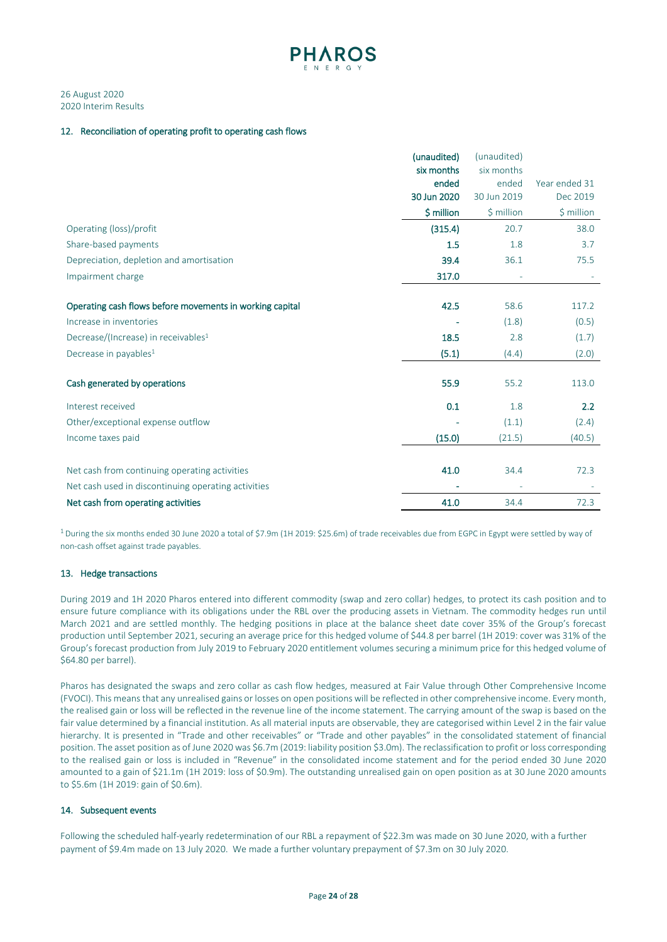

#### 12. Reconciliation of operating profit to operating cash flows

|                                                          | (unaudited) | (unaudited) |               |
|----------------------------------------------------------|-------------|-------------|---------------|
|                                                          | six months  | six months  |               |
|                                                          | ended       | ended       | Year ended 31 |
|                                                          | 30 Jun 2020 | 30 Jun 2019 | Dec 2019      |
|                                                          | \$ million  | $$$ million | $$$ million   |
| Operating (loss)/profit                                  | (315.4)     | 20.7        | 38.0          |
| Share-based payments                                     | 1.5         | 1.8         | 3.7           |
| Depreciation, depletion and amortisation                 | 39.4        | 36.1        | 75.5          |
| Impairment charge                                        | 317.0       |             |               |
|                                                          |             |             |               |
| Operating cash flows before movements in working capital | 42.5        | 58.6        | 117.2         |
| Increase in inventories                                  |             | (1.8)       | (0.5)         |
| Decrease/(Increase) in receivables <sup>1</sup>          | 18.5        | 2.8         | (1.7)         |
| Decrease in payables <sup>1</sup>                        | (5.1)       | (4.4)       | (2.0)         |
|                                                          |             |             |               |
| Cash generated by operations                             | 55.9        | 55.2        | 113.0         |
| Interest received                                        | 0.1         | 1.8         | 2.2           |
| Other/exceptional expense outflow                        |             | (1.1)       | (2.4)         |
| Income taxes paid                                        | (15.0)      | (21.5)      | (40.5)        |
|                                                          |             |             |               |
| Net cash from continuing operating activities            | 41.0        | 34.4        | 72.3          |
| Net cash used in discontinuing operating activities      |             |             |               |
| Net cash from operating activities                       | 41.0        | 34.4        | 72.3          |

<sup>1</sup> During the six months ended 30 June 2020 a total of \$7.9m (1H 2019: \$25.6m) of trade receivables due from EGPC in Egypt were settled by way of non-cash offset against trade payables.

### 13. Hedge transactions

During 2019 and 1H 2020 Pharos entered into different commodity (swap and zero collar) hedges, to protect its cash position and to ensure future compliance with its obligations under the RBL over the producing assets in Vietnam. The commodity hedges run until March 2021 and are settled monthly. The hedging positions in place at the balance sheet date cover 35% of the Group's forecast production until September 2021, securing an average price for this hedged volume of \$44.8 per barrel (1H 2019: cover was 31% of the Group's forecast production from July 2019 to February 2020 entitlement volumes securing a minimum price for this hedged volume of \$64.80 per barrel).

Pharos has designated the swaps and zero collar as cash flow hedges, measured at Fair Value through Other Comprehensive Income (FVOCI). This means that any unrealised gains or losses on open positions will be reflected in other comprehensive income. Every month, the realised gain or loss will be reflected in the revenue line of the income statement. The carrying amount of the swap is based on the fair value determined by a financial institution. As all material inputs are observable, they are categorised within Level 2 in the fair value hierarchy. It is presented in "Trade and other receivables" or "Trade and other payables" in the consolidated statement of financial position. The asset position as of June 2020 was \$6.7m (2019: liability position \$3.0m). The reclassification to profit or loss corresponding to the realised gain or loss is included in "Revenue" in the consolidated income statement and for the period ended 30 June 2020 amounted to a gain of \$21.1m (1H 2019: loss of \$0.9m). The outstanding unrealised gain on open position as at 30 June 2020 amounts to \$5.6m (1H 2019: gain of \$0.6m).

#### 14. Subsequent events

Following the scheduled half-yearly redetermination of our RBL a repayment of \$22.3m was made on 30 June 2020, with a further payment of \$9.4m made on 13 July 2020. We made a further voluntary prepayment of \$7.3m on 30 July 2020.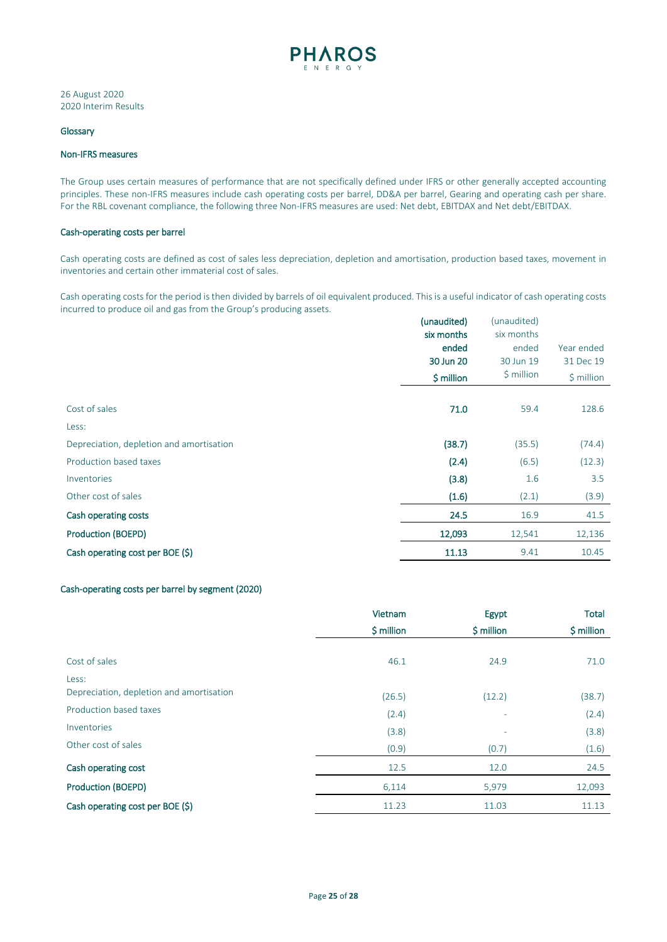

#### Glossary

# Non-IFRS measures

The Group uses certain measures of performance that are not specifically defined under IFRS or other generally accepted accounting principles. These non-IFRS measures include cash operating costs per barrel, DD&A per barrel, Gearing and operating cash per share. For the RBL covenant compliance, the following three Non-IFRS measures are used: Net debt, EBITDAX and Net debt/EBITDAX.

#### Cash-operating costs per barrel

Cash operating costs are defined as cost of sales less depreciation, depletion and amortisation, production based taxes, movement in inventories and certain other immaterial cost of sales.

Cash operating costs for the period is then divided by barrels of oil equivalent produced. This is a useful indicator of cash operating costs incurred to produce oil and gas from the Group's producing assets.

|                                          | (unaudited) | (unaudited) |             |
|------------------------------------------|-------------|-------------|-------------|
|                                          | six months  | six months  |             |
|                                          | ended       | ended       | Year ended  |
|                                          | 30 Jun 20   | 30 Jun 19   | 31 Dec 19   |
|                                          | \$ million  | $$$ million | $$$ million |
|                                          |             |             |             |
| Cost of sales                            | 71.0        | 59.4        | 128.6       |
| Less:                                    |             |             |             |
| Depreciation, depletion and amortisation | (38.7)      | (35.5)      | (74.4)      |
| Production based taxes                   | (2.4)       | (6.5)       | (12.3)      |
| Inventories                              | (3.8)       | 1.6         | 3.5         |
| Other cost of sales                      | (1.6)       | (2.1)       | (3.9)       |
| Cash operating costs                     | 24.5        | 16.9        | 41.5        |
| <b>Production (BOEPD)</b>                | 12,093      | 12,541      | 12,136      |
| Cash operating cost per BOE (\$)         | 11.13       | 9.41        | 10.45       |

# Cash-operating costs per barrel by segment (2020)

|                                          | Vietnam     | Egypt       | <b>Total</b> |
|------------------------------------------|-------------|-------------|--------------|
|                                          | $$$ million | $$$ million | $$$ million  |
|                                          |             |             |              |
| Cost of sales                            | 46.1        | 24.9        | 71.0         |
| Less:                                    |             |             |              |
| Depreciation, depletion and amortisation | (26.5)      | (12.2)      | (38.7)       |
| Production based taxes                   | (2.4)       | ۰           | (2.4)        |
| Inventories                              | (3.8)       |             | (3.8)        |
| Other cost of sales                      | (0.9)       | (0.7)       | (1.6)        |
| Cash operating cost                      | 12.5        | 12.0        | 24.5         |
| <b>Production (BOEPD)</b>                | 6,114       | 5,979       | 12,093       |
| Cash operating cost per BOE (\$)         | 11.23       | 11.03       | 11.13        |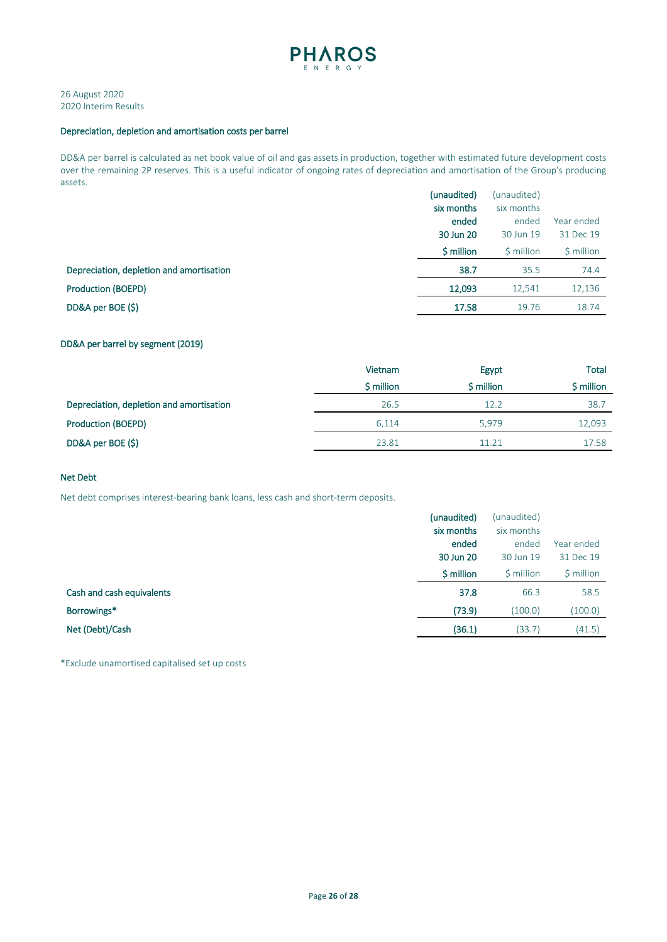

# Depreciation, depletion and amortisation costs per barrel

DD&A per barrel is calculated as net book value of oil and gas assets in production, together with estimated future development costs over the remaining 2P reserves. This is a useful indicator of ongoing rates of depreciation and amortisation of the Group's producing assets.

|                                          | (unaudited) | (unaudited) |            |
|------------------------------------------|-------------|-------------|------------|
|                                          | six months  | six months  |            |
|                                          | ended       | ended       | Year ended |
|                                          | 30 Jun 20   | 30 Jun 19   | 31 Dec 19  |
|                                          | \$ million  | \$ million  | \$ million |
| Depreciation, depletion and amortisation | 38.7        | 35.5        | 74.4       |
| <b>Production (BOEPD)</b>                | 12,093      | 12,541      | 12,136     |
| DD&A per BOE (\$)                        | 17.58       | 19.76       | 18.74      |

# DD&A per barrel by segment (2019)

|                                          | Vietnam    | Egypt      | <b>Total</b> |
|------------------------------------------|------------|------------|--------------|
|                                          | \$ million | \$ million | \$ million   |
| Depreciation, depletion and amortisation | 26.5       | 12.2       | 38.7         |
| <b>Production (BOEPD)</b>                | 6.114      | 5.979      | 12,093       |
| DD&A per BOE (\$)                        | 23.81      | 11.21      | 17.58        |

# Net Debt

Net debt comprises interest-bearing bank loans, less cash and short-term deposits.

|                           | (unaudited) | (unaudited) |            |
|---------------------------|-------------|-------------|------------|
|                           | six months  | six months  |            |
|                           | ended       | ended       | Year ended |
|                           | 30 Jun 20   | 30 Jun 19   | 31 Dec 19  |
|                           | \$ million  | \$ million  | \$ million |
| Cash and cash equivalents | 37.8        | 66.3        | 58.5       |
| Borrowings*               | (73.9)      | (100.0)     | (100.0)    |
| Net (Debt)/Cash           | (36.1)      | (33.7)      | (41.5)     |

\*Exclude unamortised capitalised set up costs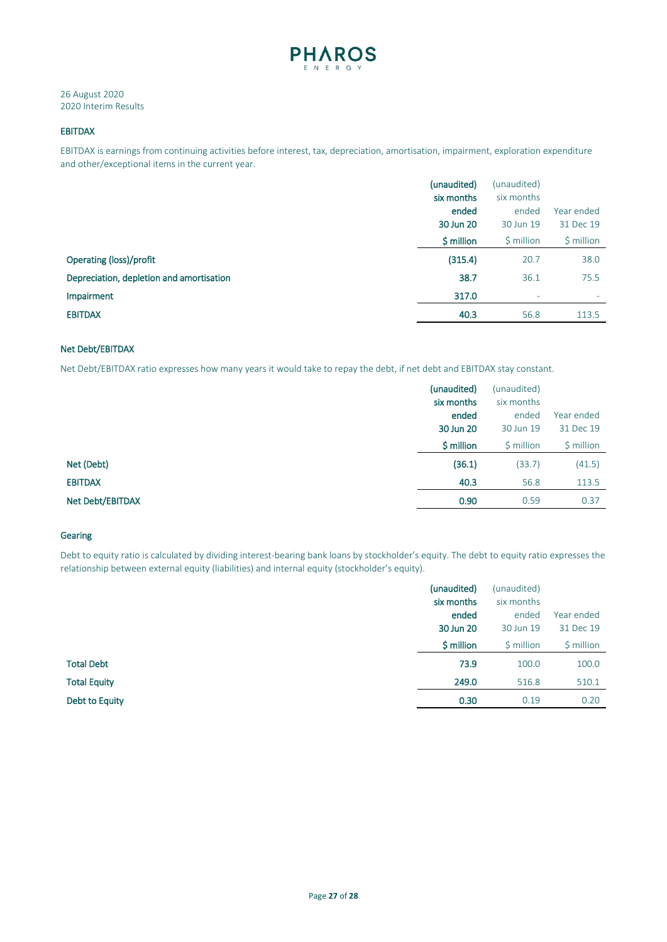

# EBITDAX

EBITDAX is earnings from continuing activities before interest, tax, depreciation, amortisation, impairment, exploration expenditure and other/exceptional items in the current year.

|                                          | (unaudited) | (unaudited) |                          |
|------------------------------------------|-------------|-------------|--------------------------|
|                                          | six months  | six months  |                          |
|                                          | ended       | ended       | Year ended               |
|                                          | 30 Jun 20   | 30 Jun 19   | 31 Dec 19                |
|                                          | \$ million  | \$ million  | $$$ million              |
| Operating (loss)/profit                  | (315.4)     | 20.7        | 38.0                     |
| Depreciation, depletion and amortisation | 38.7        | 36.1        | 75.5                     |
| Impairment                               | 317.0       | ٠           | $\overline{\phantom{a}}$ |
| <b>EBITDAX</b>                           | 40.3        | 56.8        | 113.5                    |

# Net Debt/EBITDAX

Net Debt/EBITDAX ratio expresses how many years it would take to repay the debt, if net debt and EBITDAX stay constant.

|                  | (unaudited) | (unaudited) |             |
|------------------|-------------|-------------|-------------|
|                  | six months  | six months  |             |
|                  | ended       | ended       | Year ended  |
|                  | 30 Jun 20   | 30 Jun 19   | 31 Dec 19   |
|                  | \$ million  | \$ million  | $$$ million |
| Net (Debt)       | (36.1)      | (33.7)      | (41.5)      |
| <b>EBITDAX</b>   | 40.3        | 56.8        | 113.5       |
| Net Debt/EBITDAX | 0.90        | 0.59        | 0.37        |

# Gearing

Debt to equity ratio is calculated by dividing interest-bearing bank loans by stockholder's equity. The debt to equity ratio expresses the relationship between external equity (liabilities) and internal equity (stockholder's equity).

|                     | (unaudited)<br>six months<br>ended | (unaudited)<br>six months<br>ended | Year ended |
|---------------------|------------------------------------|------------------------------------|------------|
|                     | 30 Jun 20                          | 30 Jun 19                          | 31 Dec 19  |
|                     | \$ million                         | \$ million                         | \$ million |
| <b>Total Debt</b>   | 73.9                               | 100.0                              | 100.0      |
| <b>Total Equity</b> | 249.0                              | 516.8                              | 510.1      |
| Debt to Equity      | 0.30                               | 0.19                               | 0.20       |